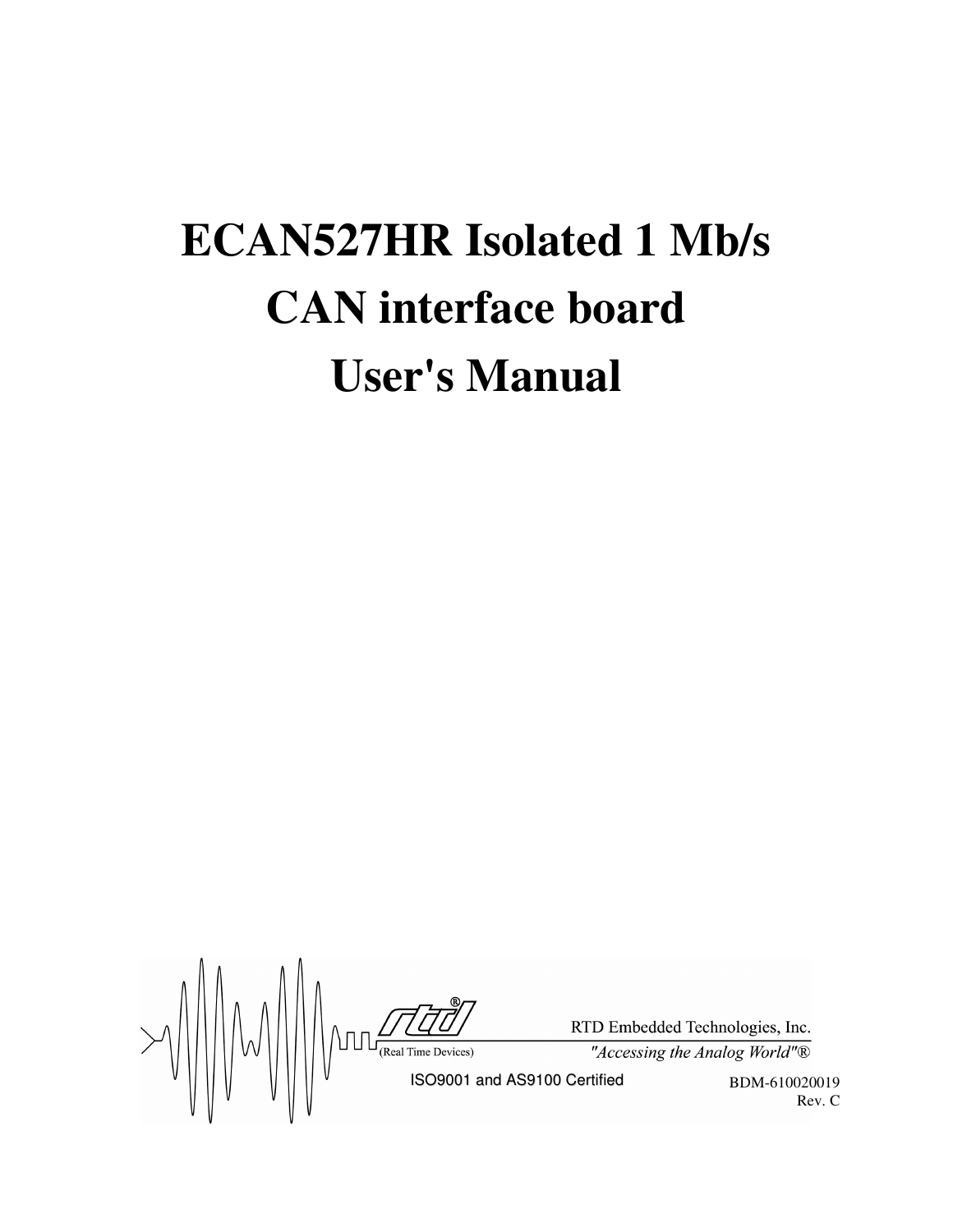# **ECAN527HR Isolated 1 Mb/s CAN interface board User's Manual**

 $\text{FDD-ER}$ <br>  $\text{FDD-ER}$ <br>  $\text{FDD-ER}$ <br>  $\text{RSD-ER}$ <br>  $\text{RSD-ER}$ <br>  $\text{RSD-ER}$ <br>  $\text{RSD-ER}$ <br>  $\text{RSD-ER}$ <br>  $\text{RSD-ER}$ <br>  $\text{RSD-ER}$ <br>  $\text{RSD-ER}$ <br>  $\text{RSD-ER}$ <br>  $\text{RSD-ER}$ <br>  $\text{RSD-ER}$ <br>  $\text{RSD-ER}$ RTD Embedded Technologies, Inc. "Accessing the Analog World"®

BDM-610020019 Rev. C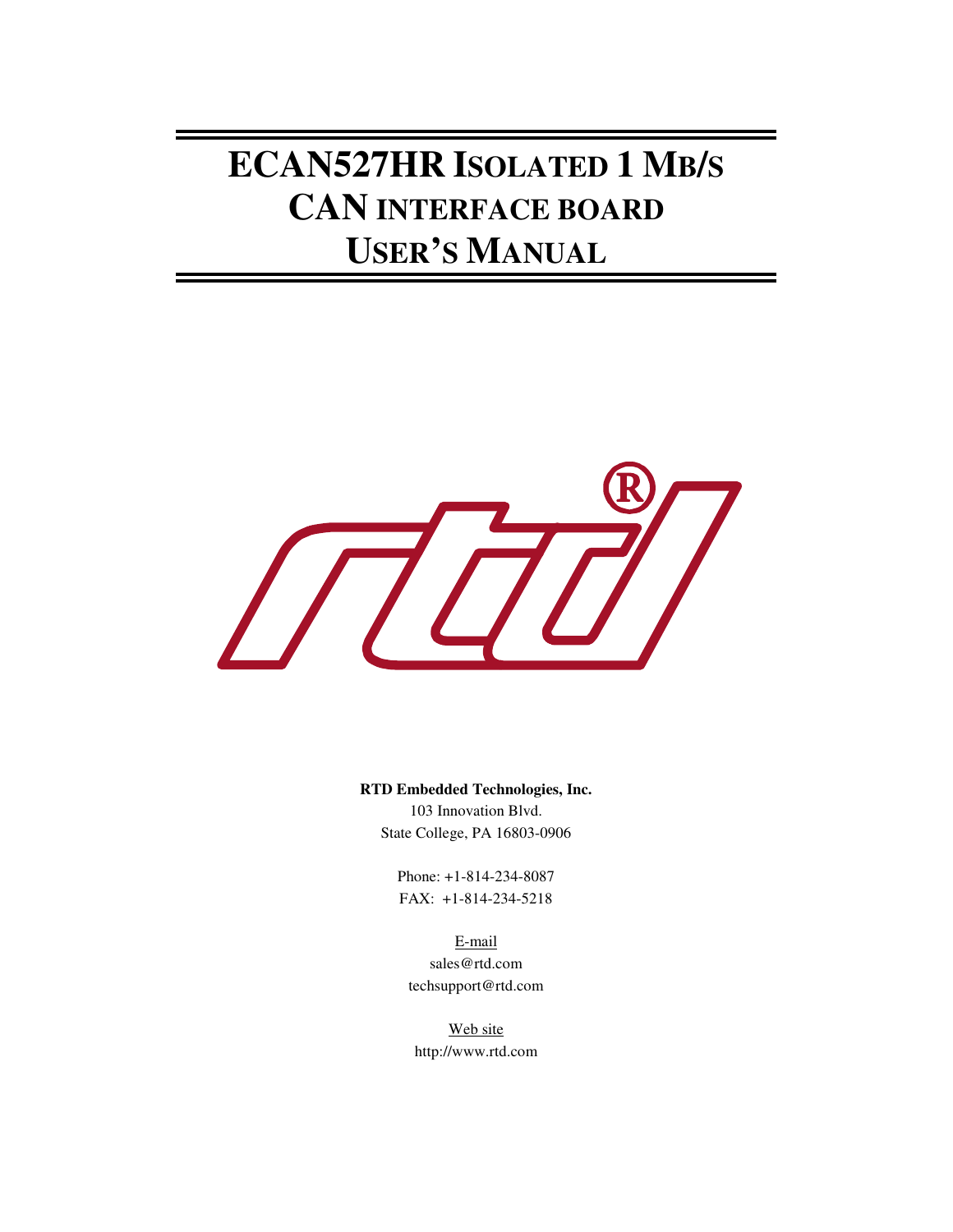## **ECAN527HR ISOLATED 1 MB/S CAN INTERFACE BOARD USER'S MANUAL**



**RTD Embedded Technologies, Inc.**

103 Innovation Blvd. State College, PA 16803-0906

Phone: +1-814-234-8087 FAX: +1-814-234-5218

E-mail sales@rtd.com techsupport@rtd.com

Web site http://www.rtd.com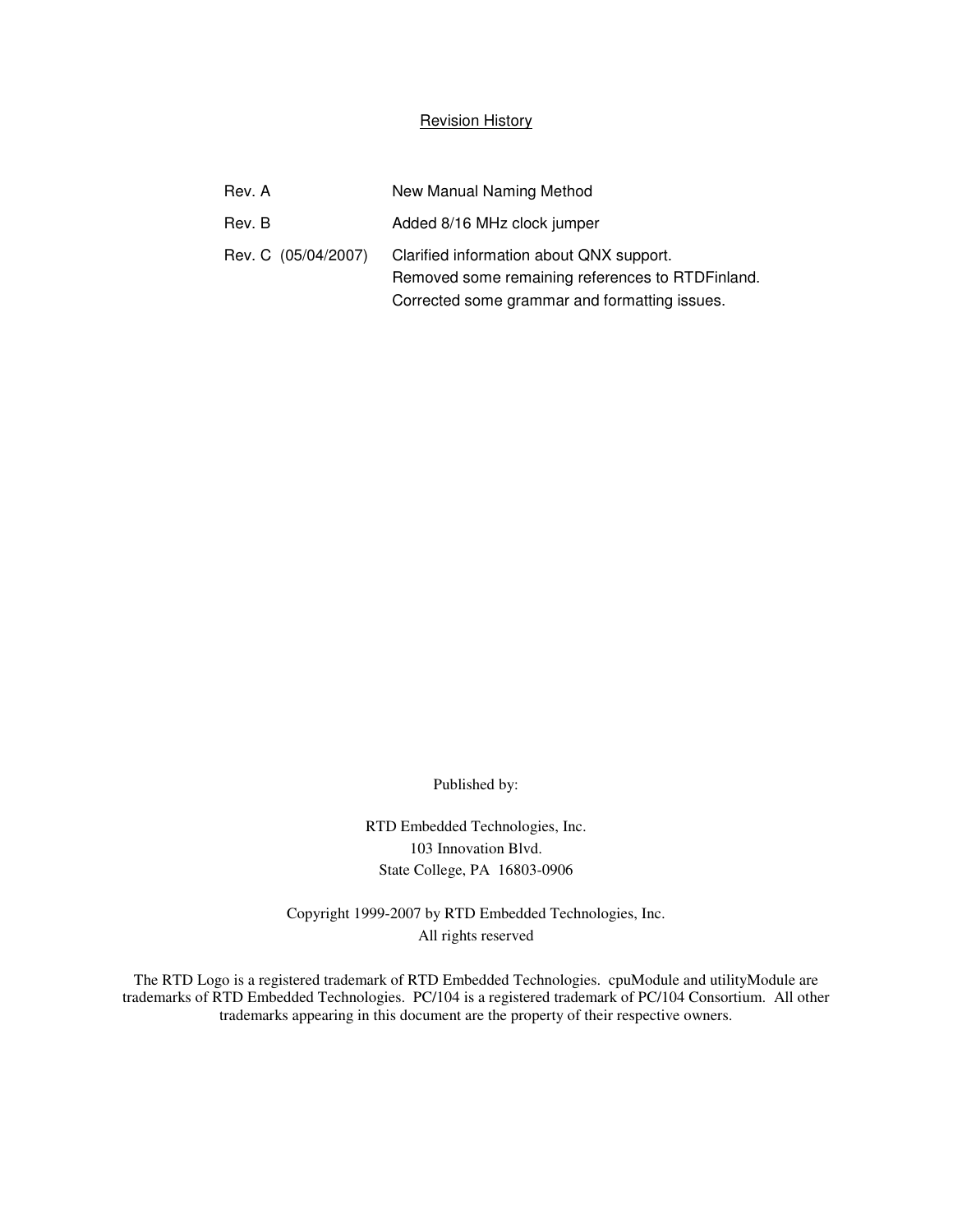#### Revision History

| Rev. A              | New Manual Naming Method                                                                                                                      |
|---------------------|-----------------------------------------------------------------------------------------------------------------------------------------------|
| Rev. B              | Added 8/16 MHz clock jumper                                                                                                                   |
| Rev. C (05/04/2007) | Clarified information about QNX support.<br>Removed some remaining references to RTDFinland.<br>Corrected some grammar and formatting issues. |

Published by:

RTD Embedded Technologies, Inc. 103 Innovation Blvd. State College, PA 16803-0906

Copyright 1999-2007 by RTD Embedded Technologies, Inc. All rights reserved

The RTD Logo is a registered trademark of RTD Embedded Technologies. cpuModule and utilityModule are trademarks of RTD Embedded Technologies. PC/104 is a registered trademark of PC/104 Consortium. All other trademarks appearing in this document are the property of their respective owners.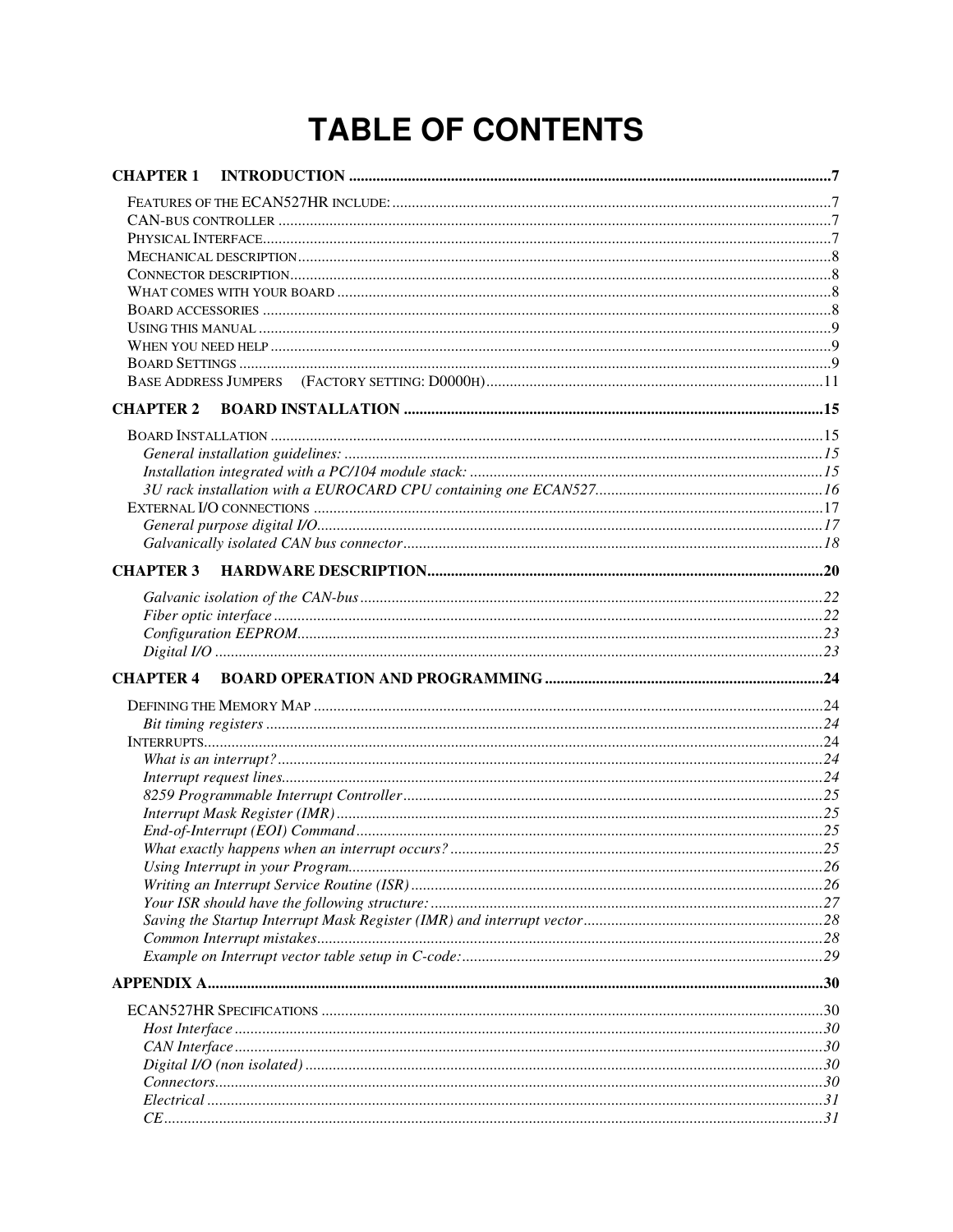## **TABLE OF CONTENTS**

| <b>CHAPTER 1</b> |  |
|------------------|--|
|                  |  |
|                  |  |
|                  |  |
|                  |  |
|                  |  |
|                  |  |
|                  |  |
|                  |  |
|                  |  |
|                  |  |
|                  |  |
| <b>CHAPTER 2</b> |  |
|                  |  |
|                  |  |
|                  |  |
|                  |  |
|                  |  |
|                  |  |
|                  |  |
|                  |  |
|                  |  |
|                  |  |
|                  |  |
|                  |  |
| <b>CHAPTER 4</b> |  |
|                  |  |
|                  |  |
|                  |  |
|                  |  |
|                  |  |
|                  |  |
|                  |  |
|                  |  |
|                  |  |
|                  |  |
|                  |  |
|                  |  |
|                  |  |
|                  |  |
|                  |  |
|                  |  |
|                  |  |
|                  |  |
|                  |  |
|                  |  |
|                  |  |
|                  |  |
|                  |  |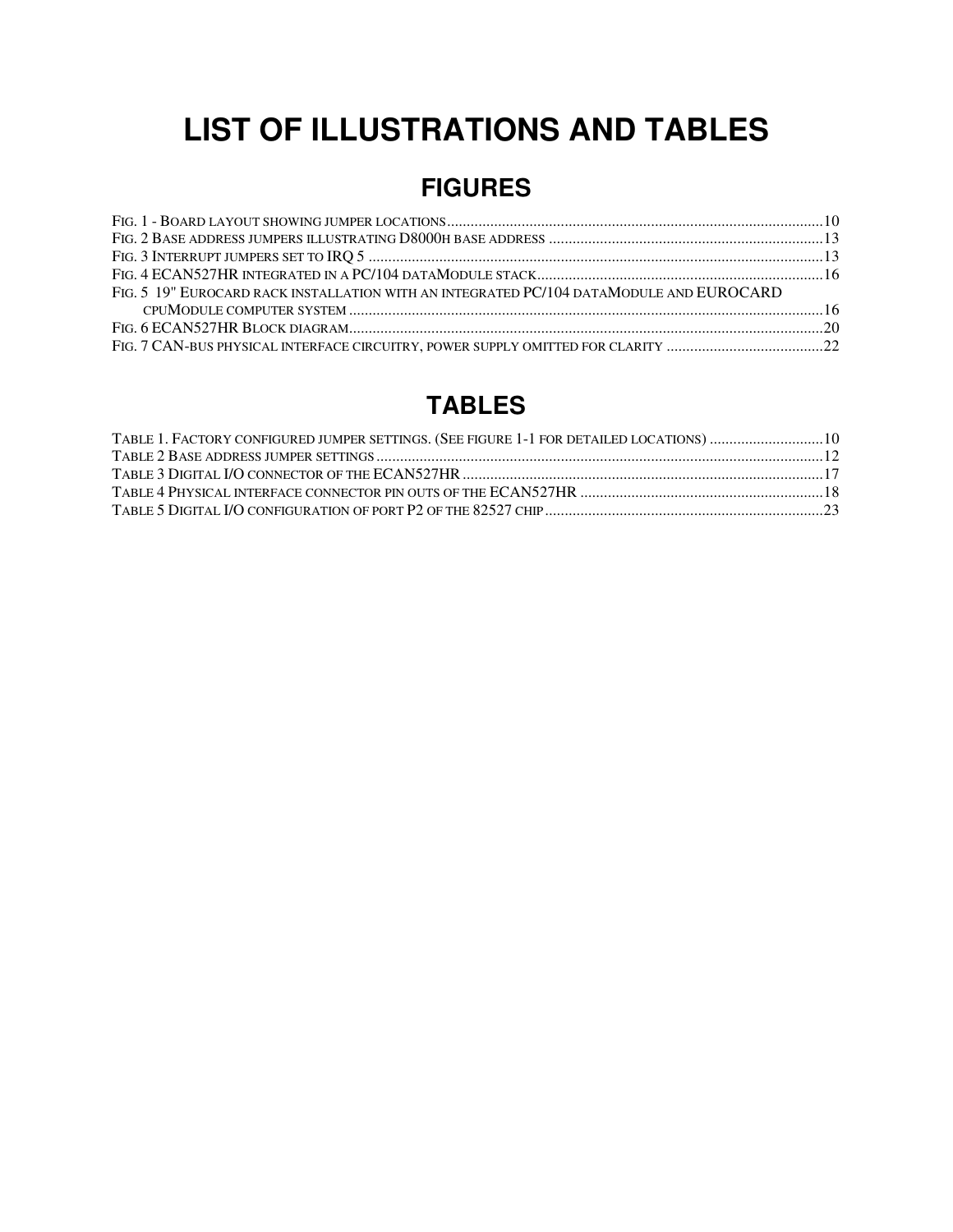## **LIST OF ILLUSTRATIONS AND TABLES**

## **FIGURES**

| FIG. 5 19" EUROCARD RACK INSTALLATION WITH AN INTEGRATED PC/104 DATAMODULE AND EUROCARD |  |
|-----------------------------------------------------------------------------------------|--|
|                                                                                         |  |
|                                                                                         |  |
|                                                                                         |  |

## **TABLES**

| TABLE 1. FACTORY CONFIGURED JUMPER SETTINGS. (SEE FIGURE 1-1 FOR DETAILED LOCATIONS)  10 |  |
|------------------------------------------------------------------------------------------|--|
|                                                                                          |  |
|                                                                                          |  |
|                                                                                          |  |
|                                                                                          |  |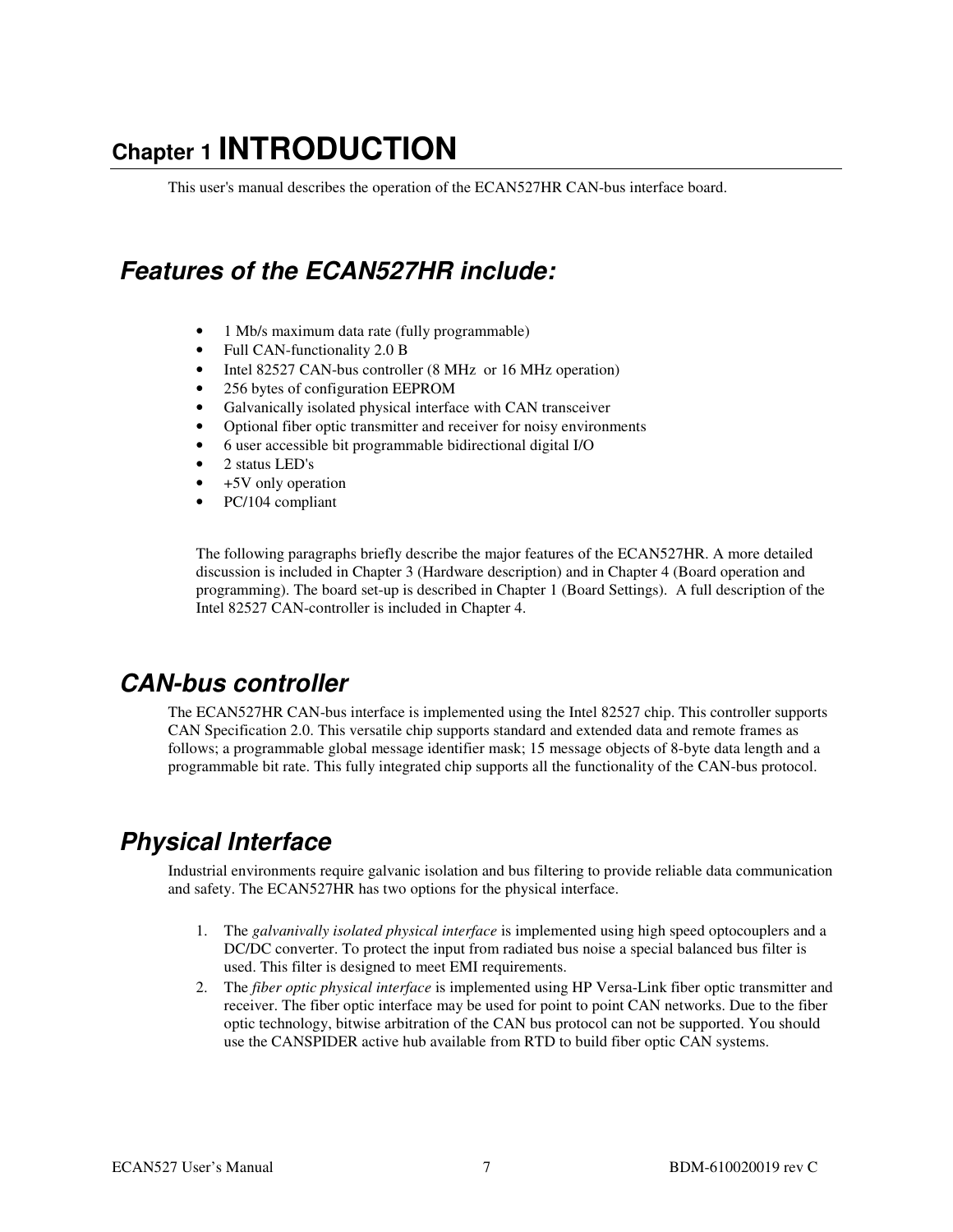## **Chapter 1 INTRODUCTION**

This user's manual describes the operation of the ECAN527HR CAN-bus interface board.

## **Features of the ECAN527HR include:**

- 1 Mb/s maximum data rate (fully programmable)
- Full CAN-functionality 2.0 B
- Intel 82527 CAN-bus controller (8 MHz or 16 MHz operation)
- 256 bytes of configuration EEPROM
- Galvanically isolated physical interface with CAN transceiver
- Optional fiber optic transmitter and receiver for noisy environments
- 6 user accessible bit programmable bidirectional digital I/O
- 2 status LED's
- +5V only operation
- PC/104 compliant

The following paragraphs briefly describe the major features of the ECAN527HR. A more detailed discussion is included in Chapter 3 (Hardware description) and in Chapter 4 (Board operation and programming). The board set-up is described in Chapter 1 (Board Settings). A full description of the Intel 82527 CAN-controller is included in Chapter 4.

### **CAN-bus controller**

The ECAN527HR CAN-bus interface is implemented using the Intel 82527 chip. This controller supports CAN Specification 2.0. This versatile chip supports standard and extended data and remote frames as follows; a programmable global message identifier mask; 15 message objects of 8-byte data length and a programmable bit rate. This fully integrated chip supports all the functionality of the CAN-bus protocol.

## **Physical Interface**

Industrial environments require galvanic isolation and bus filtering to provide reliable data communication and safety. The ECAN527HR has two options for the physical interface.

- 1. The *galvanivally isolated physical interface* is implemented using high speed optocouplers and a DC/DC converter. To protect the input from radiated bus noise a special balanced bus filter is used. This filter is designed to meet EMI requirements.
- 2. The *fiber optic physical interface* is implemented using HP Versa-Link fiber optic transmitter and receiver. The fiber optic interface may be used for point to point CAN networks. Due to the fiber optic technology, bitwise arbitration of the CAN bus protocol can not be supported. You should use the CANSPIDER active hub available from RTD to build fiber optic CAN systems.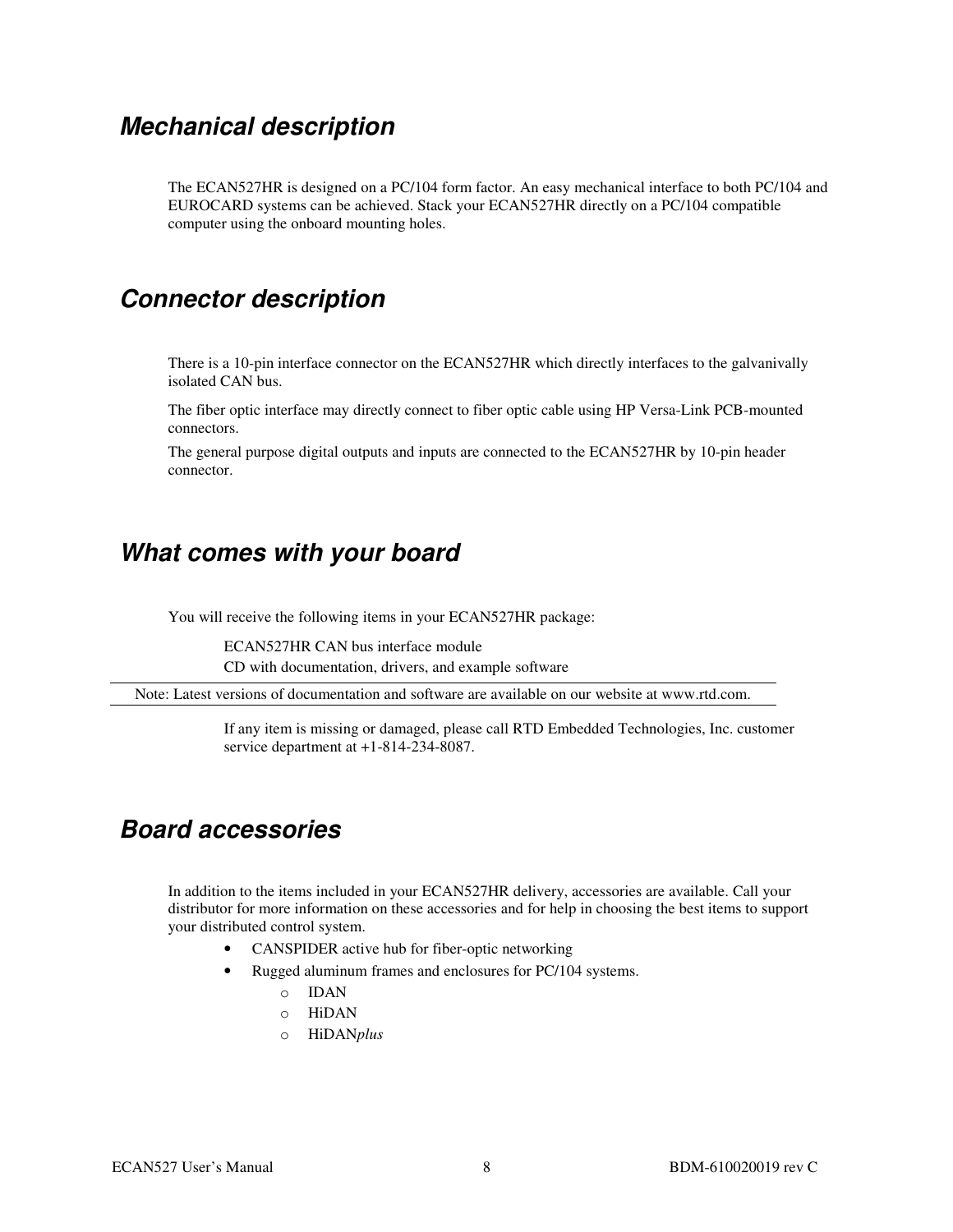### **Mechanical description**

The ECAN527HR is designed on a PC/104 form factor. An easy mechanical interface to both PC/104 and EUROCARD systems can be achieved. Stack your ECAN527HR directly on a PC/104 compatible computer using the onboard mounting holes.

### **Connector description**

There is a 10-pin interface connector on the ECAN527HR which directly interfaces to the galvanivally isolated CAN bus.

The fiber optic interface may directly connect to fiber optic cable using HP Versa-Link PCB-mounted connectors.

The general purpose digital outputs and inputs are connected to the ECAN527HR by 10-pin header connector.

### **What comes with your board**

You will receive the following items in your ECAN527HR package:

ECAN527HR CAN bus interface module CD with documentation, drivers, and example software

Note: Latest versions of documentation and software are available on our website at www.rtd.com.

If any item is missing or damaged, please call RTD Embedded Technologies, Inc. customer service department at +1-814-234-8087.

### **Board accessories**

In addition to the items included in your ECAN527HR delivery, accessories are available. Call your distributor for more information on these accessories and for help in choosing the best items to support your distributed control system.

- CANSPIDER active hub for fiber-optic networking
- Rugged aluminum frames and enclosures for PC/104 systems.
	- o IDAN
	- o HiDAN
	- o HiDAN*plus*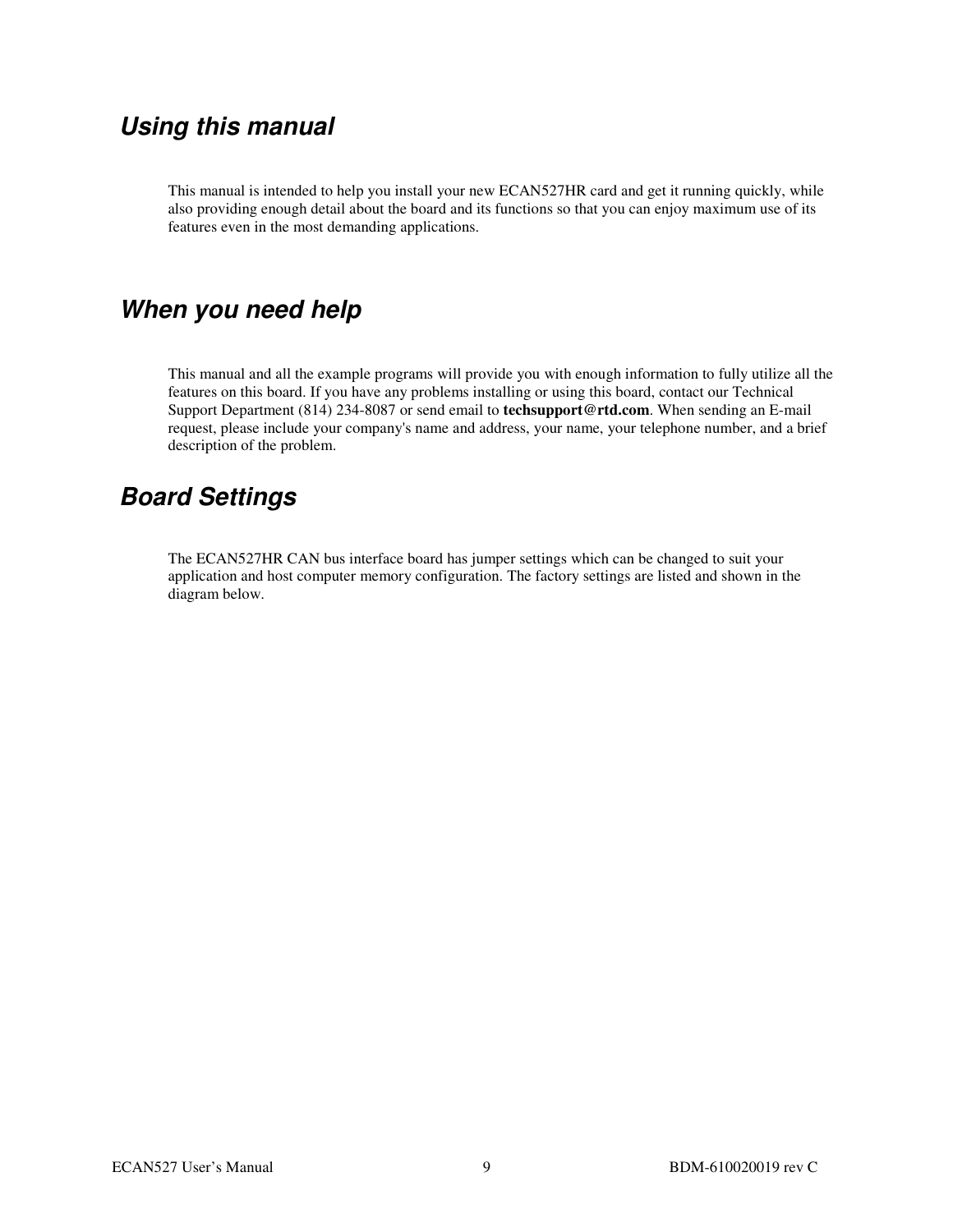## **Using this manual**

This manual is intended to help you install your new ECAN527HR card and get it running quickly, while also providing enough detail about the board and its functions so that you can enjoy maximum use of its features even in the most demanding applications.

## **When you need help**

This manual and all the example programs will provide you with enough information to fully utilize all the features on this board. If you have any problems installing or using this board, contact our Technical Support Department (814) 234-8087 or send email to **techsupport@rtd.com**. When sending an E-mail request, please include your company's name and address, your name, your telephone number, and a brief description of the problem.

## **Board Settings**

The ECAN527HR CAN bus interface board has jumper settings which can be changed to suit your application and host computer memory configuration. The factory settings are listed and shown in the diagram below.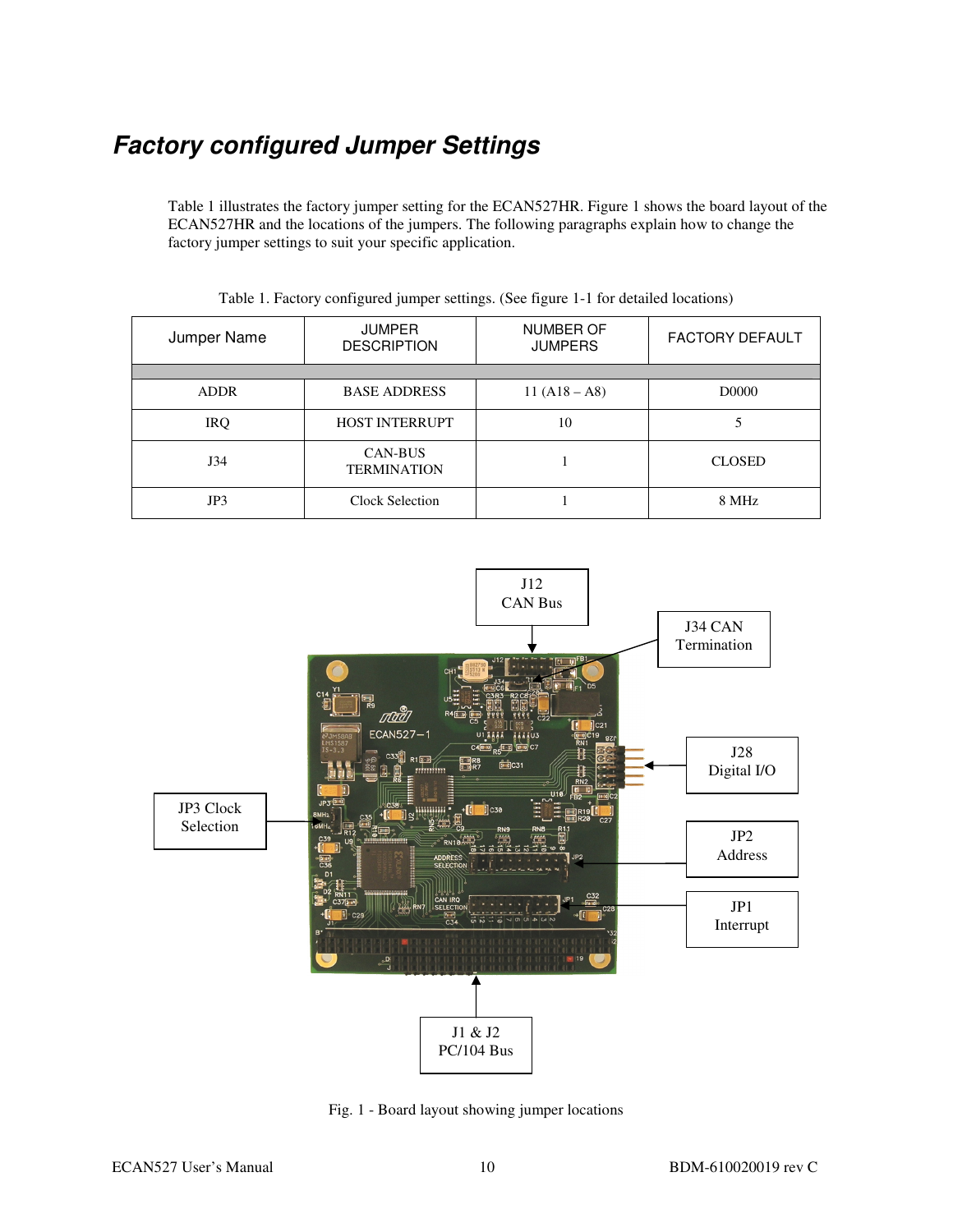## **Factory configured Jumper Settings**

Table 1 illustrates the factory jumper setting for the ECAN527HR. Figure 1 shows the board layout of the ECAN527HR and the locations of the jumpers. The following paragraphs explain how to change the factory jumper settings to suit your specific application.

| Jumper Name | <b>JUMPER</b><br><b>DESCRIPTION</b>  | <b>NUMBER OF</b><br><b>JUMPERS</b> | <b>FACTORY DEFAULT</b> |
|-------------|--------------------------------------|------------------------------------|------------------------|
|             |                                      |                                    |                        |
| <b>ADDR</b> | <b>BASE ADDRESS</b>                  | $11 (A18 - A8)$                    | D0000                  |
| <b>IRQ</b>  | <b>HOST INTERRUPT</b>                | 10                                 |                        |
| J34         | <b>CAN-BUS</b><br><b>TERMINATION</b> |                                    | <b>CLOSED</b>          |
| JP3         | Clock Selection                      |                                    | 8 MHz                  |

Table 1. Factory configured jumper settings. (See figure 1-1 for detailed locations)



Fig. 1 - Board layout showing jumper locations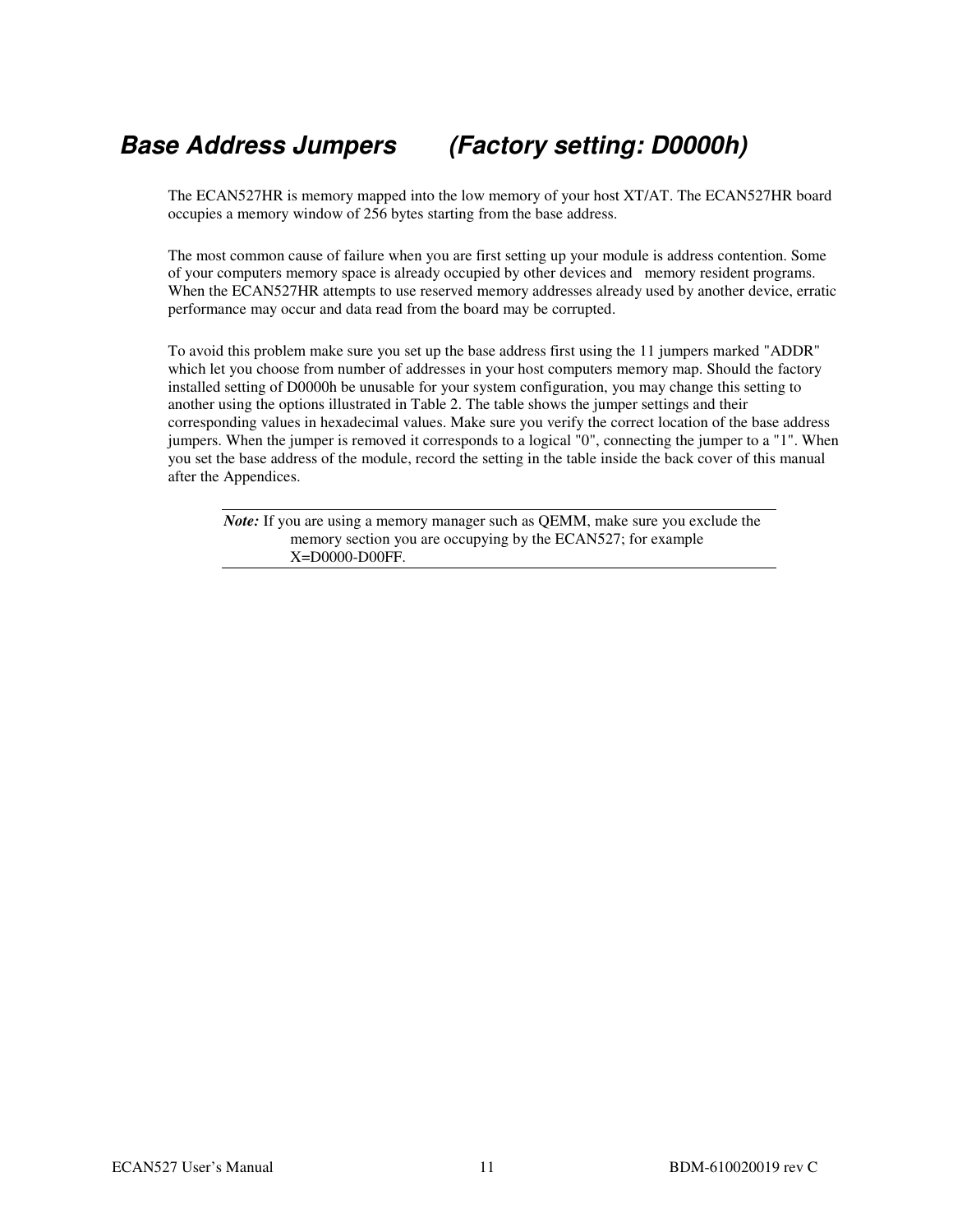## **Base Address Jumpers (Factory setting: D0000h)**

The ECAN527HR is memory mapped into the low memory of your host XT/AT. The ECAN527HR board occupies a memory window of 256 bytes starting from the base address.

The most common cause of failure when you are first setting up your module is address contention. Some of your computers memory space is already occupied by other devices and memory resident programs. When the ECAN527HR attempts to use reserved memory addresses already used by another device, erratic performance may occur and data read from the board may be corrupted.

To avoid this problem make sure you set up the base address first using the 11 jumpers marked "ADDR" which let you choose from number of addresses in your host computers memory map. Should the factory installed setting of D0000h be unusable for your system configuration, you may change this setting to another using the options illustrated in Table 2. The table shows the jumper settings and their corresponding values in hexadecimal values. Make sure you verify the correct location of the base address jumpers. When the jumper is removed it corresponds to a logical "0", connecting the jumper to a "1". When you set the base address of the module, record the setting in the table inside the back cover of this manual after the Appendices.

*Note:* If you are using a memory manager such as QEMM, make sure you exclude the memory section you are occupying by the ECAN527; for example X=D0000-D00FF.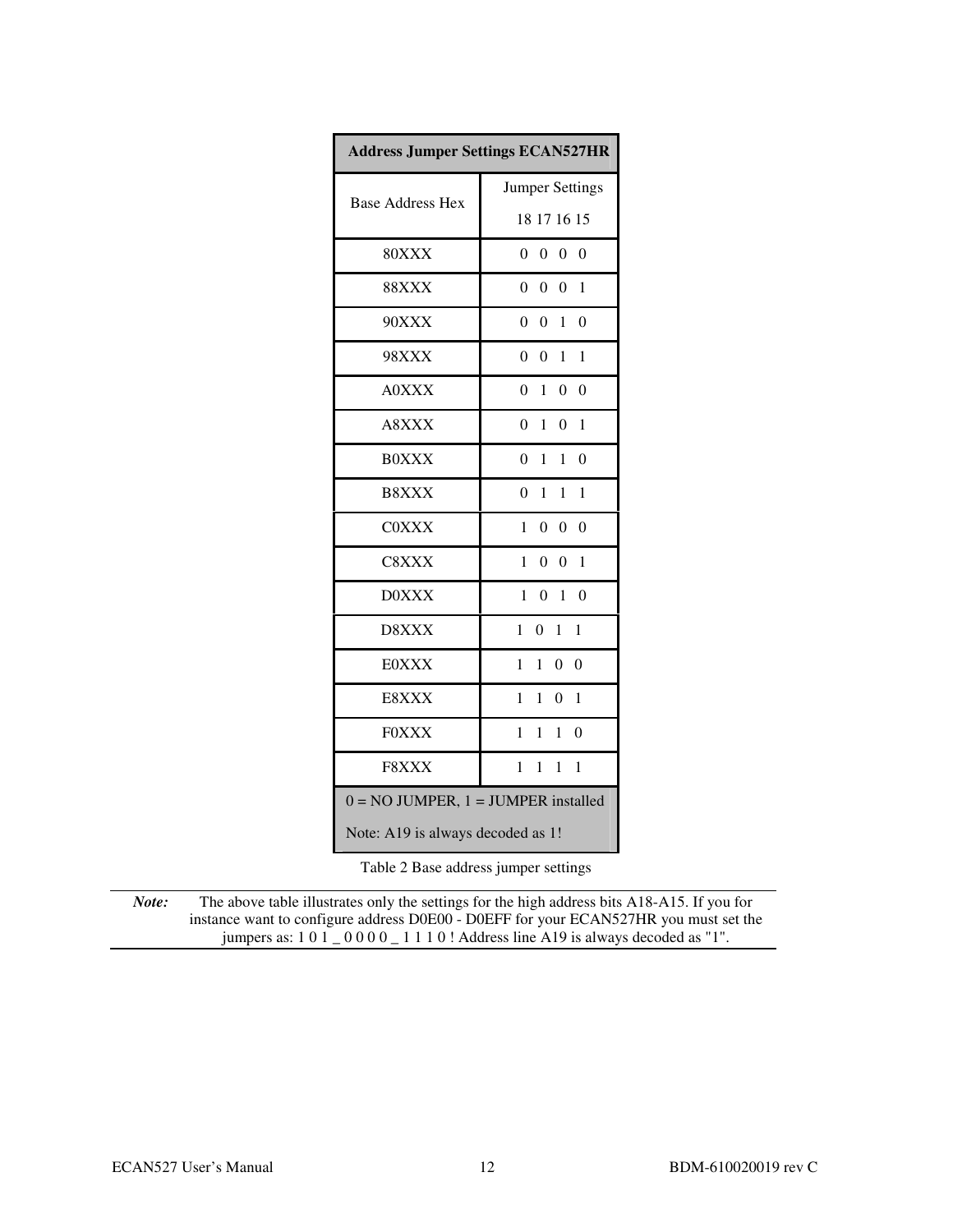| <b>Address Jumper Settings ECAN527HR</b> |                                                                        |  |
|------------------------------------------|------------------------------------------------------------------------|--|
| <b>Base Address Hex</b>                  | <b>Jumper Settings</b>                                                 |  |
|                                          | 18 17 16 15                                                            |  |
| 80XXX                                    | $\theta$<br>$\boldsymbol{0}$<br>$\boldsymbol{0}$<br>$\theta$           |  |
| <b>88XXX</b>                             | $\boldsymbol{0}$<br>$\boldsymbol{0}$<br>$\boldsymbol{0}$<br>1          |  |
| 90XXX                                    | $\boldsymbol{0}$<br>$\overline{0}$<br>$\mathbf{1}$<br>$\boldsymbol{0}$ |  |
| <b>98XXX</b>                             | $\boldsymbol{0}$<br>$\overline{0}$<br>1<br>1                           |  |
| <b>A0XXX</b>                             | $\Omega$<br>1<br>$\mathbf{0}$<br>$\theta$                              |  |
| A8XXX                                    | $\Omega$<br>$\mathbf{1}$<br>$\boldsymbol{0}$<br>1                      |  |
| <b>BOXXX</b>                             | $\Omega$<br>$\theta$<br>1<br>1                                         |  |
| B8XXX                                    | $\theta$<br>1<br>1<br>1                                                |  |
| <b>COXXX</b>                             | $\theta$<br>$\theta$<br>$\theta$<br>1                                  |  |
| C8XXX                                    | $\theta$<br>1<br>$\overline{0}$<br>1                                   |  |
| <b>D0XXX</b>                             | $\theta$<br>1<br>$\theta$<br>1                                         |  |
| D8XXX                                    | 1<br>$\theta$<br>1<br>1                                                |  |
| <b>E0XXX</b>                             | 0<br>$\theta$<br>1<br>1                                                |  |
| E8XXX                                    | 1<br>1<br>$\boldsymbol{0}$<br>1                                        |  |
| <b>FOXXX</b>                             | 1<br>$\mathbf{1}$<br>$\theta$<br>1                                     |  |
| F8XXX                                    | $\mathbf{1}$<br>$\mathbf{1}$<br>$\mathbf{1}$<br>1                      |  |
| $0 = NO$ JUMPER, $1 = J$ UMPER installed |                                                                        |  |
| Note: A19 is always decoded as 1!        |                                                                        |  |

Table 2 Base address jumper settings

*Note:* The above table illustrates only the settings for the high address bits A18-A15. If you for instance want to configure address D0E00 - D0EFF for your ECAN527HR you must set the jumpers as: 1 0 1 \_ 0 0 0 0 \_ 1 1 1 0 ! Address line A19 is always decoded as "1".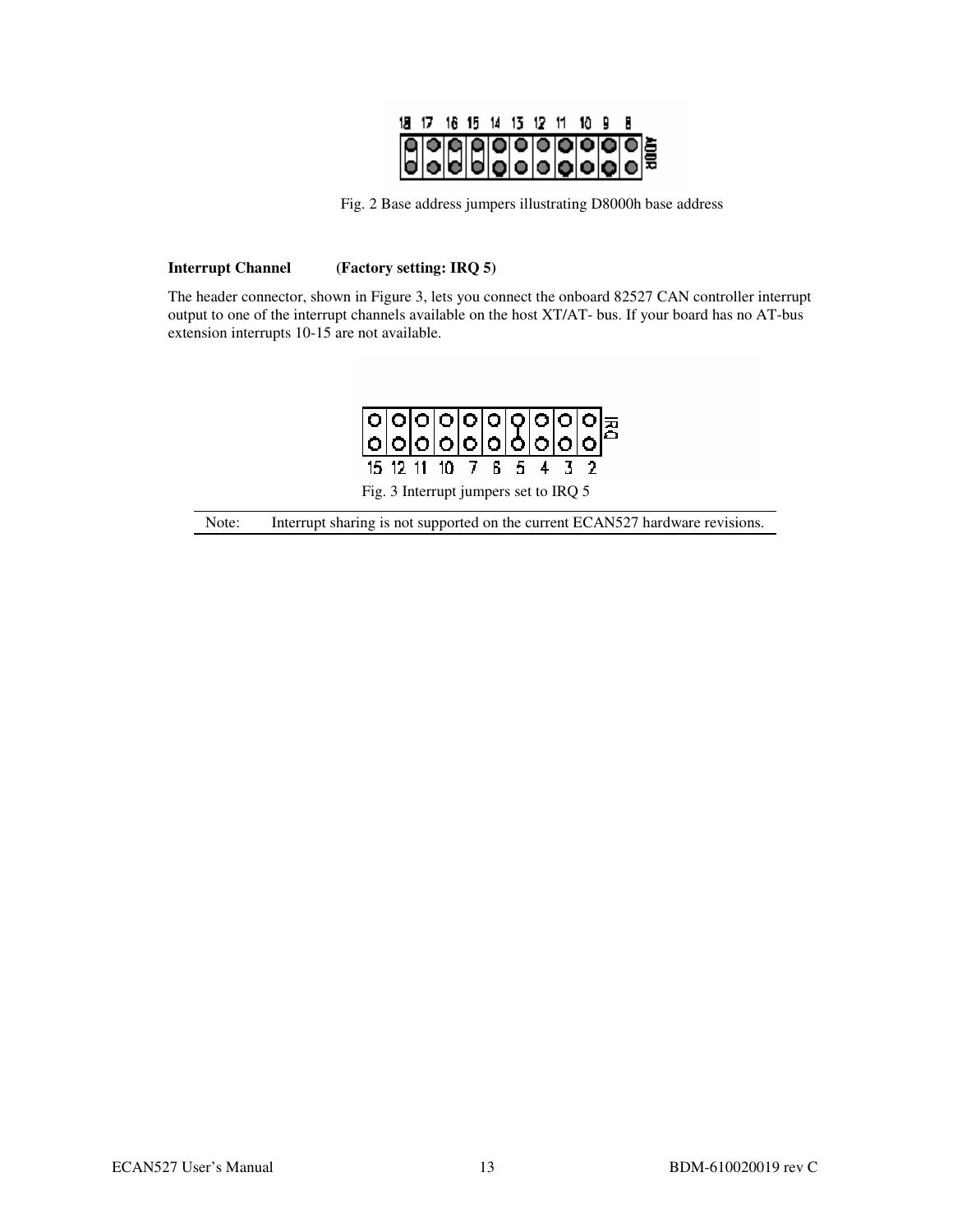

Fig. 2 Base address jumpers illustrating D8000h base address

#### **Interrupt Channel (Factory setting: IRQ 5)**

The header connector, shown in Figure 3, lets you connect the onboard 82527 CAN controller interrupt output to one of the interrupt channels available on the host XT/AT- bus. If your board has no AT-bus extension interrupts 10-15 are not available.



Fig. 3 Interrupt jumpers set to IRQ 5

Note: Interrupt sharing is not supported on the current ECAN527 hardware revisions.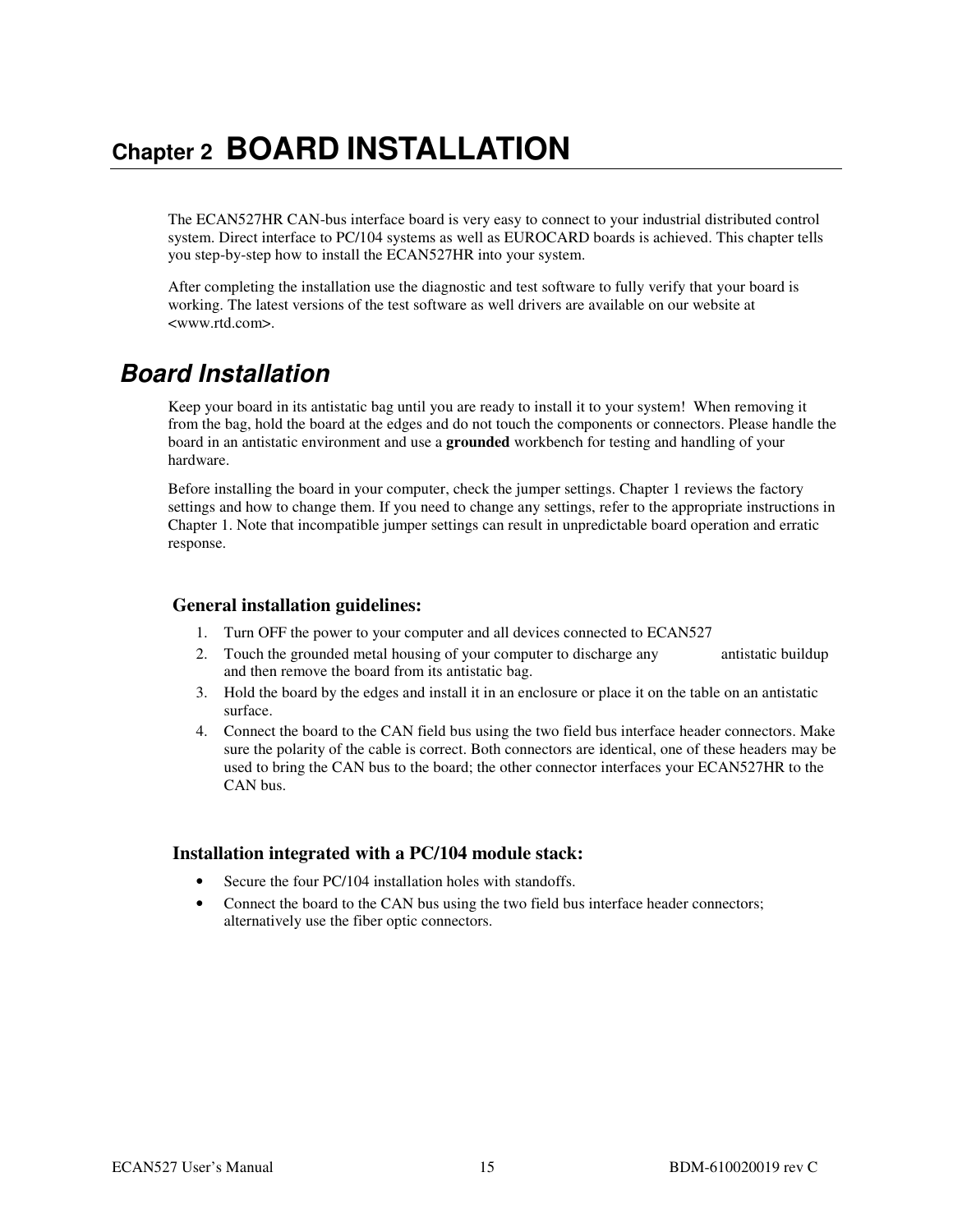## **Chapter 2 BOARD INSTALLATION**

The ECAN527HR CAN-bus interface board is very easy to connect to your industrial distributed control system. Direct interface to PC/104 systems as well as EUROCARD boards is achieved. This chapter tells you step-by-step how to install the ECAN527HR into your system.

After completing the installation use the diagnostic and test software to fully verify that your board is working. The latest versions of the test software as well drivers are available on our website at <www.rtd.com>.

## **Board Installation**

Keep your board in its antistatic bag until you are ready to install it to your system! When removing it from the bag, hold the board at the edges and do not touch the components or connectors. Please handle the board in an antistatic environment and use a **grounded** workbench for testing and handling of your hardware.

Before installing the board in your computer, check the jumper settings. Chapter 1 reviews the factory settings and how to change them. If you need to change any settings, refer to the appropriate instructions in Chapter 1. Note that incompatible jumper settings can result in unpredictable board operation and erratic response.

#### **General installation guidelines:**

- 1. Turn OFF the power to your computer and all devices connected to ECAN527
- 2. Touch the grounded metal housing of your computer to discharge any antistatic buildup and then remove the board from its antistatic bag.
- 3. Hold the board by the edges and install it in an enclosure or place it on the table on an antistatic surface.
- 4. Connect the board to the CAN field bus using the two field bus interface header connectors. Make sure the polarity of the cable is correct. Both connectors are identical, one of these headers may be used to bring the CAN bus to the board; the other connector interfaces your ECAN527HR to the CAN bus.

#### **Installation integrated with a PC/104 module stack:**

- Secure the four PC/104 installation holes with standoffs.
- Connect the board to the CAN bus using the two field bus interface header connectors; alternatively use the fiber optic connectors.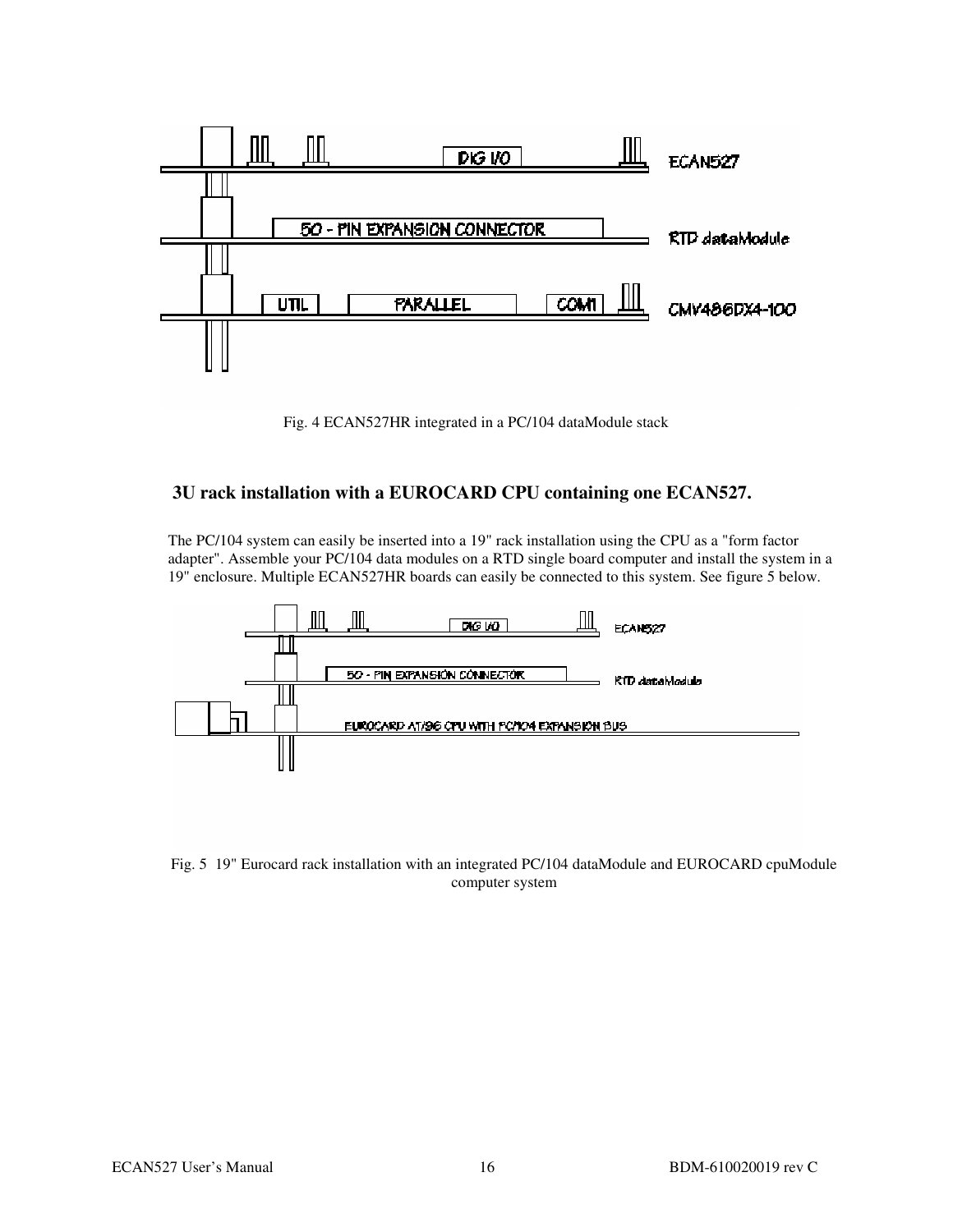

Fig. 4 ECAN527HR integrated in a PC/104 dataModule stack

#### **3U rack installation with a EUROCARD CPU containing one ECAN527.**

The PC/104 system can easily be inserted into a 19" rack installation using the CPU as a "form factor adapter". Assemble your PC/104 data modules on a RTD single board computer and install the system in a 19" enclosure. Multiple ECAN527HR boards can easily be connected to this system. See figure 5 below.



Fig. 5 19" Eurocard rack installation with an integrated PC/104 dataModule and EUROCARD cpuModule computer system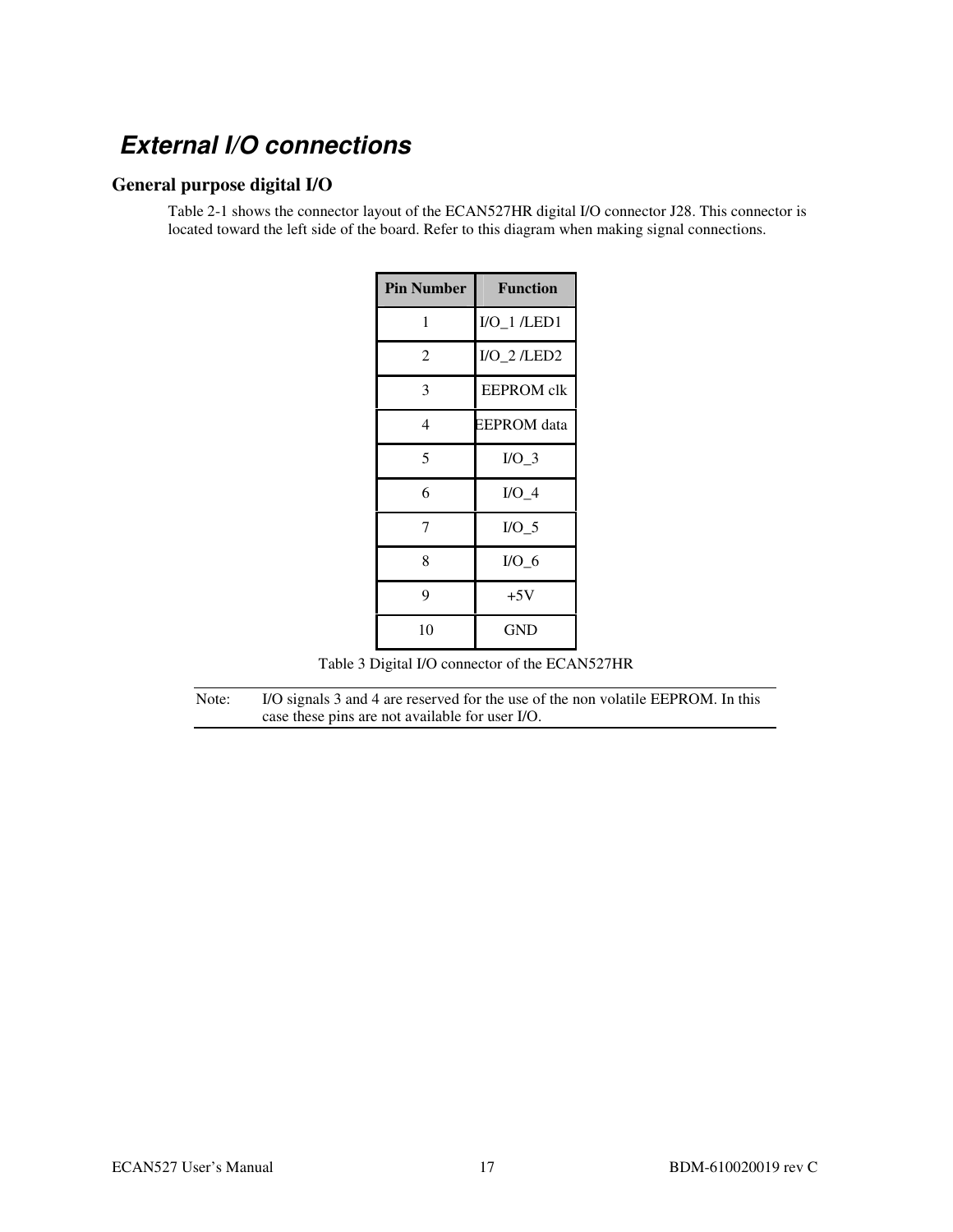## **External I/O connections**

#### **General purpose digital I/O**

Table 2-1 shows the connector layout of the ECAN527HR digital I/O connector J28. This connector is located toward the left side of the board. Refer to this diagram when making signal connections.

| <b>Pin Number</b> | <b>Function</b>   |
|-------------------|-------------------|
| 1                 | $I/O_1$ /LED1     |
| 2                 | $I/O_2$ /LED2     |
| 3                 | <b>EEPROM</b> clk |
| 4                 | EEPROM data       |
| 5                 | $I/O_3$           |
| 6                 | $I/O$ 4           |
| 7                 | $I/O$ 5           |
| 8                 | I/O <sub>6</sub>  |
| 9                 | $+5V$             |
| 10                | GND               |

Table 3 Digital I/O connector of the ECAN527HR

Note: I/O signals 3 and 4 are reserved for the use of the non volatile EEPROM. In this case these pins are not available for user I/O.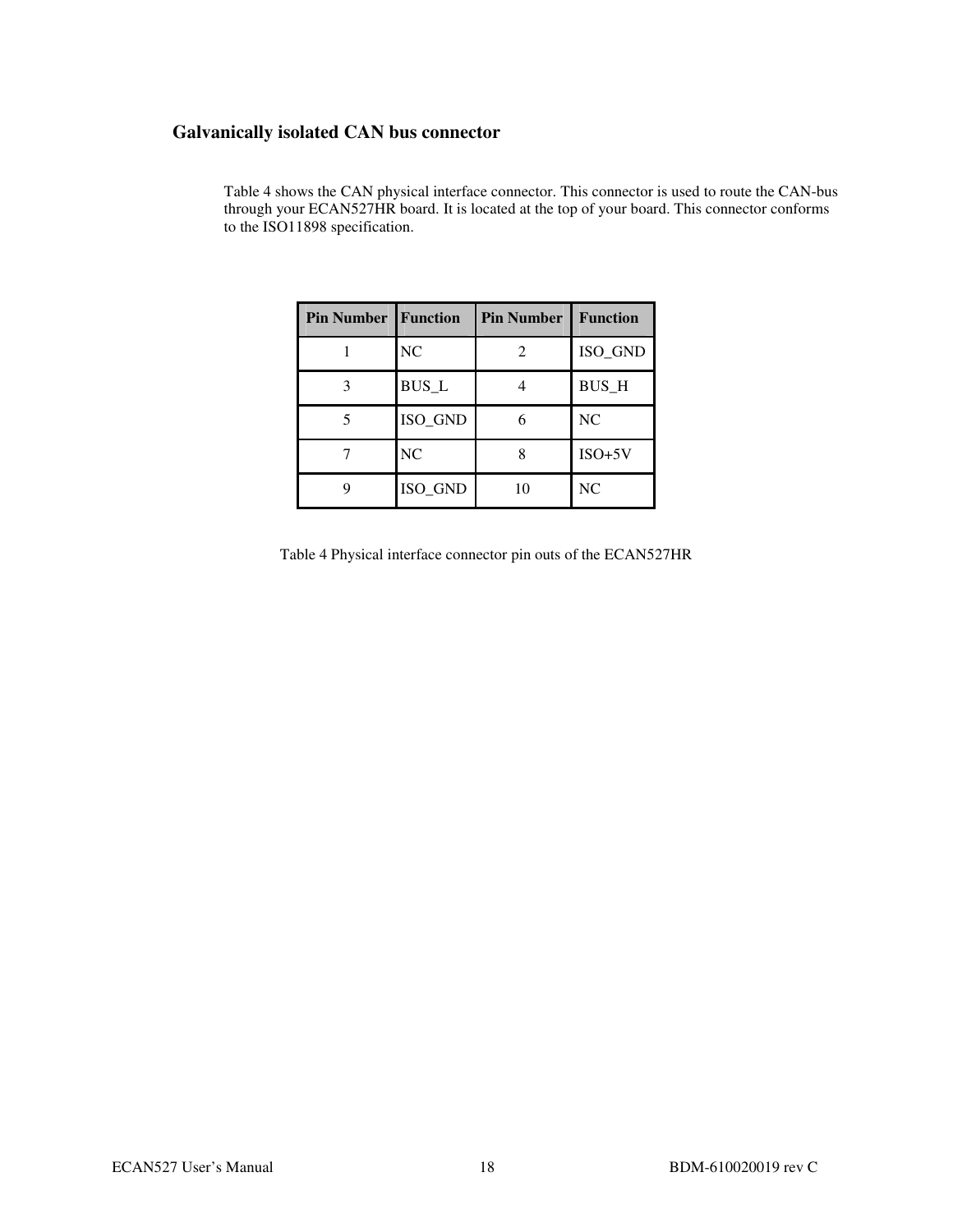#### **Galvanically isolated CAN bus connector**

| <b>Pin Number   Function</b> |              | <b>Pin Number</b> | <b>Function</b> |
|------------------------------|--------------|-------------------|-----------------|
|                              | NC           | $\mathcal{L}$     | ISO_GND         |
|                              | <b>BUS_L</b> |                   | <b>BUS_H</b>    |
|                              | ISO GND      |                   | NC              |
|                              | NC           |                   | $ISO+5V$        |
|                              | ISO_GND      | 10                | NC              |

Table 4 shows the CAN physical interface connector. This connector is used to route the CAN-bus through your ECAN527HR board. It is located at the top of your board. This connector conforms to the ISO11898 specification.

Table 4 Physical interface connector pin outs of the ECAN527HR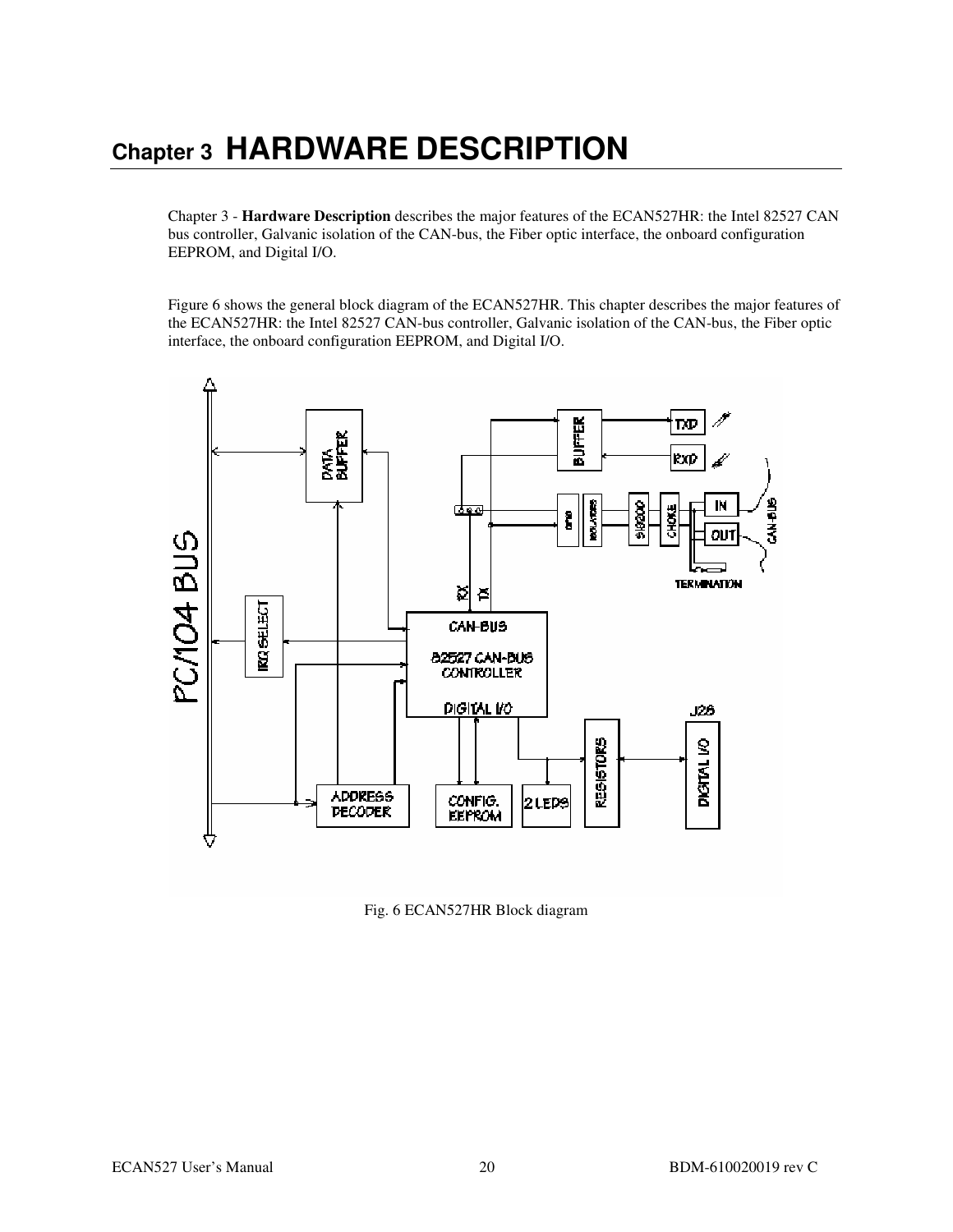## **Chapter 3 HARDWARE DESCRIPTION**

Chapter 3 - **Hardware Description** describes the major features of the ECAN527HR: the Intel 82527 CAN bus controller, Galvanic isolation of the CAN-bus, the Fiber optic interface, the onboard configuration EEPROM, and Digital I/O.

Figure 6 shows the general block diagram of the ECAN527HR. This chapter describes the major features of the ECAN527HR: the Intel 82527 CAN-bus controller, Galvanic isolation of the CAN-bus, the Fiber optic interface, the onboard configuration EEPROM, and Digital I/O.



Fig. 6 ECAN527HR Block diagram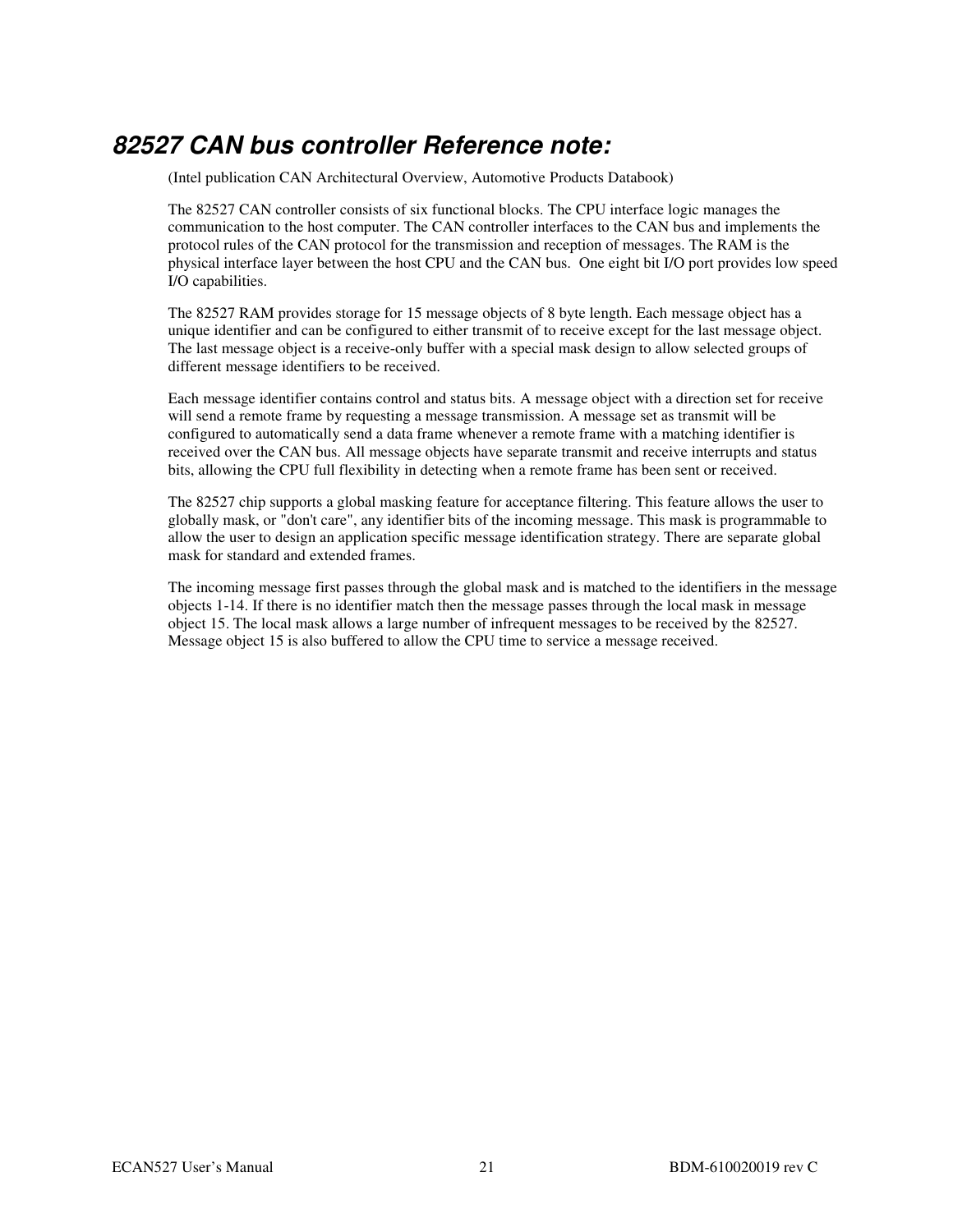## **82527 CAN bus controller Reference note:**

(Intel publication CAN Architectural Overview, Automotive Products Databook)

The 82527 CAN controller consists of six functional blocks. The CPU interface logic manages the communication to the host computer. The CAN controller interfaces to the CAN bus and implements the protocol rules of the CAN protocol for the transmission and reception of messages. The RAM is the physical interface layer between the host CPU and the CAN bus. One eight bit I/O port provides low speed I/O capabilities.

The 82527 RAM provides storage for 15 message objects of 8 byte length. Each message object has a unique identifier and can be configured to either transmit of to receive except for the last message object. The last message object is a receive-only buffer with a special mask design to allow selected groups of different message identifiers to be received.

Each message identifier contains control and status bits. A message object with a direction set for receive will send a remote frame by requesting a message transmission. A message set as transmit will be configured to automatically send a data frame whenever a remote frame with a matching identifier is received over the CAN bus. All message objects have separate transmit and receive interrupts and status bits, allowing the CPU full flexibility in detecting when a remote frame has been sent or received.

The 82527 chip supports a global masking feature for acceptance filtering. This feature allows the user to globally mask, or "don't care", any identifier bits of the incoming message. This mask is programmable to allow the user to design an application specific message identification strategy. There are separate global mask for standard and extended frames.

The incoming message first passes through the global mask and is matched to the identifiers in the message objects 1-14. If there is no identifier match then the message passes through the local mask in message object 15. The local mask allows a large number of infrequent messages to be received by the 82527. Message object 15 is also buffered to allow the CPU time to service a message received.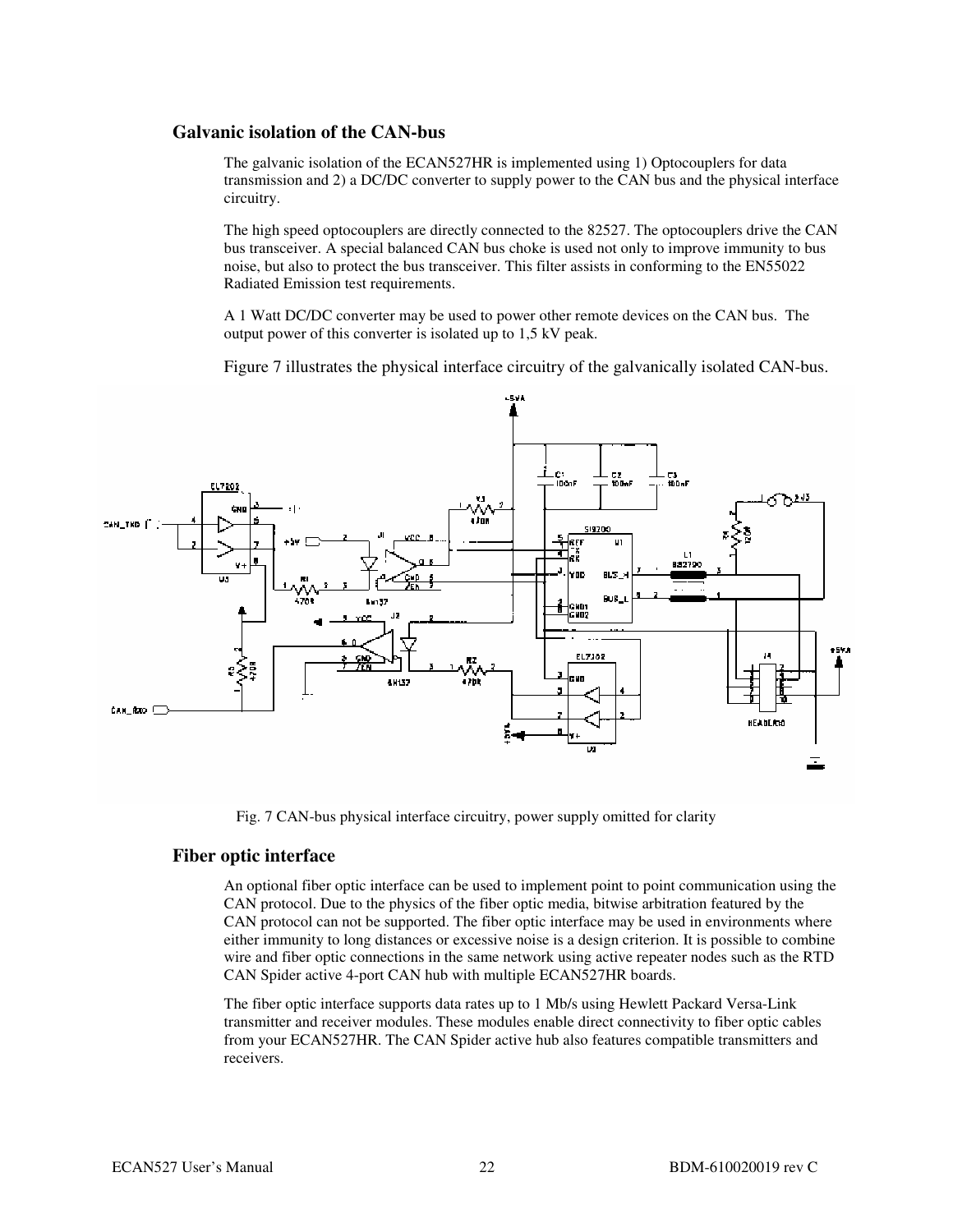#### **Galvanic isolation of the CAN-bus**

The galvanic isolation of the ECAN527HR is implemented using 1) Optocouplers for data transmission and 2) a DC/DC converter to supply power to the CAN bus and the physical interface circuitry.

The high speed optocouplers are directly connected to the 82527. The optocouplers drive the CAN bus transceiver. A special balanced CAN bus choke is used not only to improve immunity to bus noise, but also to protect the bus transceiver. This filter assists in conforming to the EN55022 Radiated Emission test requirements.

A 1 Watt DC/DC converter may be used to power other remote devices on the CAN bus. The output power of this converter is isolated up to 1,5 kV peak.

Figure 7 illustrates the physical interface circuitry of the galvanically isolated CAN-bus.



Fig. 7 CAN-bus physical interface circuitry, power supply omitted for clarity

#### **Fiber optic interface**

An optional fiber optic interface can be used to implement point to point communication using the CAN protocol. Due to the physics of the fiber optic media, bitwise arbitration featured by the CAN protocol can not be supported. The fiber optic interface may be used in environments where either immunity to long distances or excessive noise is a design criterion. It is possible to combine wire and fiber optic connections in the same network using active repeater nodes such as the RTD CAN Spider active 4-port CAN hub with multiple ECAN527HR boards.

The fiber optic interface supports data rates up to 1 Mb/s using Hewlett Packard Versa-Link transmitter and receiver modules. These modules enable direct connectivity to fiber optic cables from your ECAN527HR. The CAN Spider active hub also features compatible transmitters and receivers.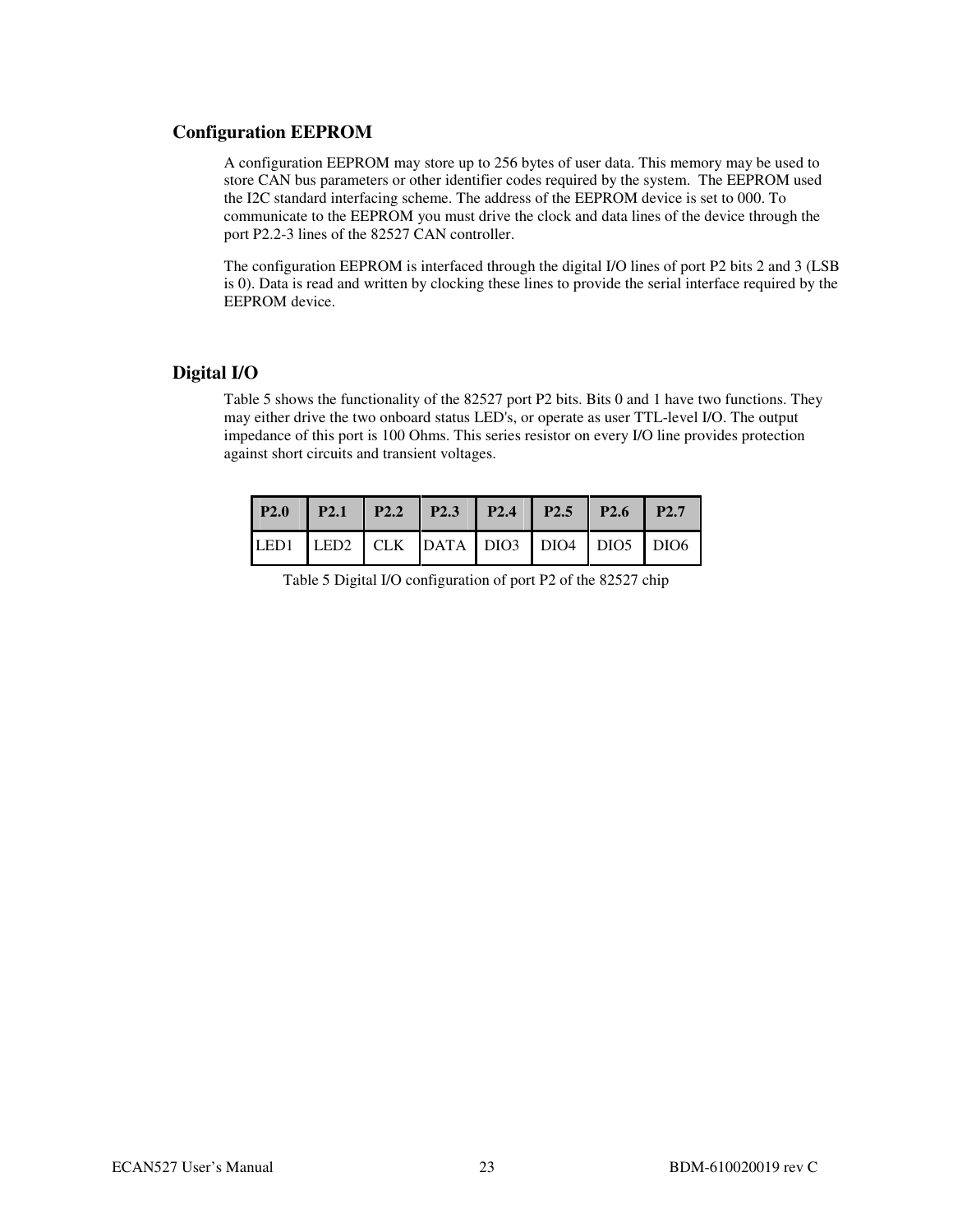#### **Configuration EEPROM**

A configuration EEPROM may store up to 256 bytes of user data. This memory may be used to store CAN bus parameters or other identifier codes required by the system. The EEPROM used the I2C standard interfacing scheme. The address of the EEPROM device is set to 000. To communicate to the EEPROM you must drive the clock and data lines of the device through the port P2.2-3 lines of the 82527 CAN controller.

The configuration EEPROM is interfaced through the digital I/O lines of port P2 bits 2 and 3 (LSB is 0). Data is read and written by clocking these lines to provide the serial interface required by the EEPROM device.

#### **Digital I/O**

Table 5 shows the functionality of the 82527 port P2 bits. Bits 0 and 1 have two functions. They may either drive the two onboard status LED's, or operate as user TTL-level I/O. The output impedance of this port is 100 Ohms. This series resistor on every I/O line provides protection against short circuits and transient voltages.

| P2.0 P2.1 P2.2 P2.3 P2.4 P2.5 P2.6 P2.7 |  |  |  |
|-----------------------------------------|--|--|--|
| LED1 LED2 CLK DATA DIO3 DIO4 DIO5 DIO6  |  |  |  |

Table 5 Digital I/O configuration of port P2 of the 82527 chip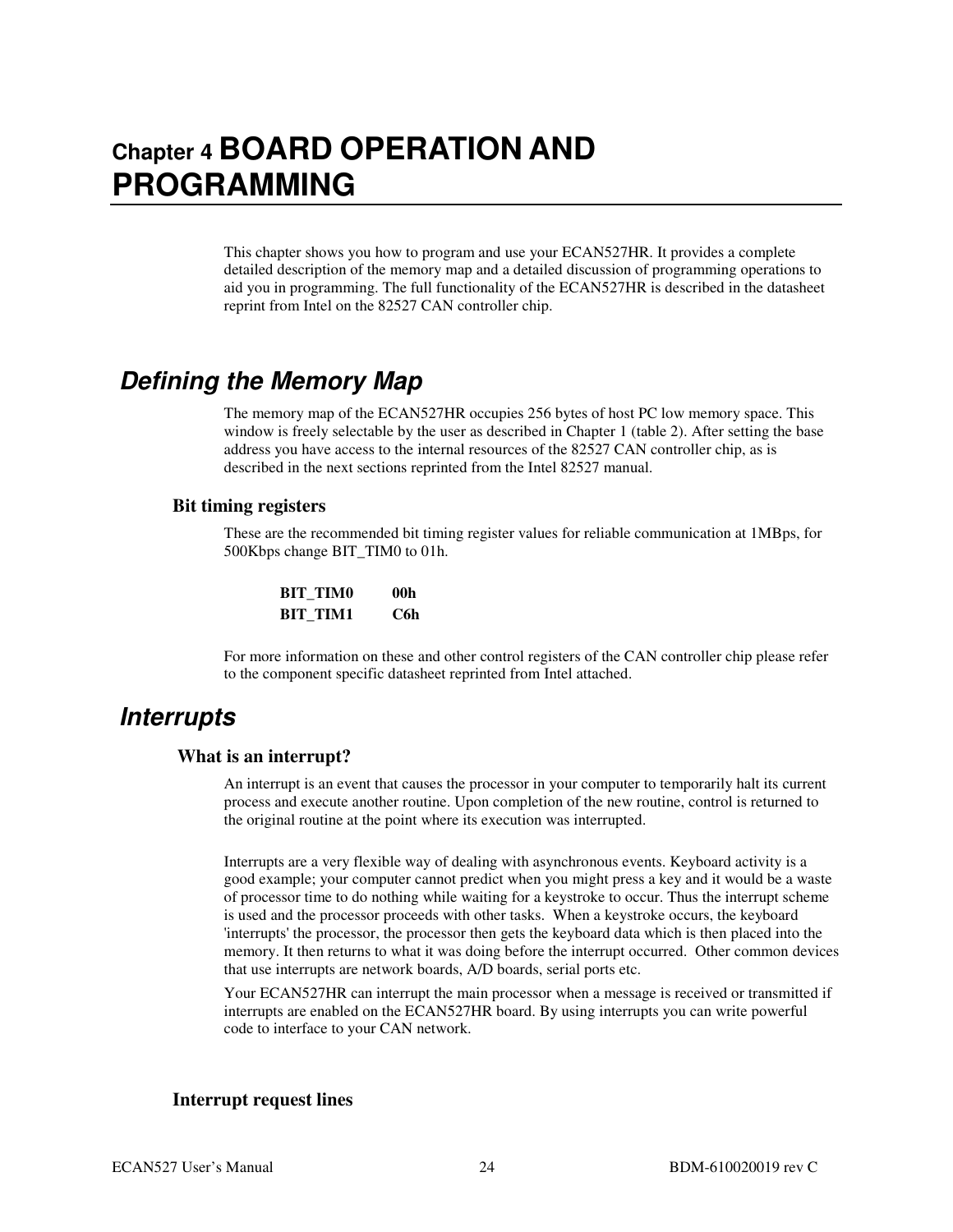## **Chapter 4 BOARD OPERATION AND PROGRAMMING**

This chapter shows you how to program and use your ECAN527HR. It provides a complete detailed description of the memory map and a detailed discussion of programming operations to aid you in programming. The full functionality of the ECAN527HR is described in the datasheet reprint from Intel on the 82527 CAN controller chip.

## **Defining the Memory Map**

The memory map of the ECAN527HR occupies 256 bytes of host PC low memory space. This window is freely selectable by the user as described in Chapter 1 (table 2). After setting the base address you have access to the internal resources of the 82527 CAN controller chip, as is described in the next sections reprinted from the Intel 82527 manual.

#### **Bit timing registers**

These are the recommended bit timing register values for reliable communication at 1MBps, for 500Kbps change BIT\_TIM0 to 01h.

| <b>BIT TIMO</b> | 00h |
|-----------------|-----|
| <b>BIT TIM1</b> | C6h |

For more information on these and other control registers of the CAN controller chip please refer to the component specific datasheet reprinted from Intel attached.

### **Interrupts**

#### **What is an interrupt?**

An interrupt is an event that causes the processor in your computer to temporarily halt its current process and execute another routine. Upon completion of the new routine, control is returned to the original routine at the point where its execution was interrupted.

Interrupts are a very flexible way of dealing with asynchronous events. Keyboard activity is a good example; your computer cannot predict when you might press a key and it would be a waste of processor time to do nothing while waiting for a keystroke to occur. Thus the interrupt scheme is used and the processor proceeds with other tasks. When a keystroke occurs, the keyboard 'interrupts' the processor, the processor then gets the keyboard data which is then placed into the memory. It then returns to what it was doing before the interrupt occurred. Other common devices that use interrupts are network boards, A/D boards, serial ports etc.

Your ECAN527HR can interrupt the main processor when a message is received or transmitted if interrupts are enabled on the ECAN527HR board. By using interrupts you can write powerful code to interface to your CAN network.

#### **Interrupt request lines**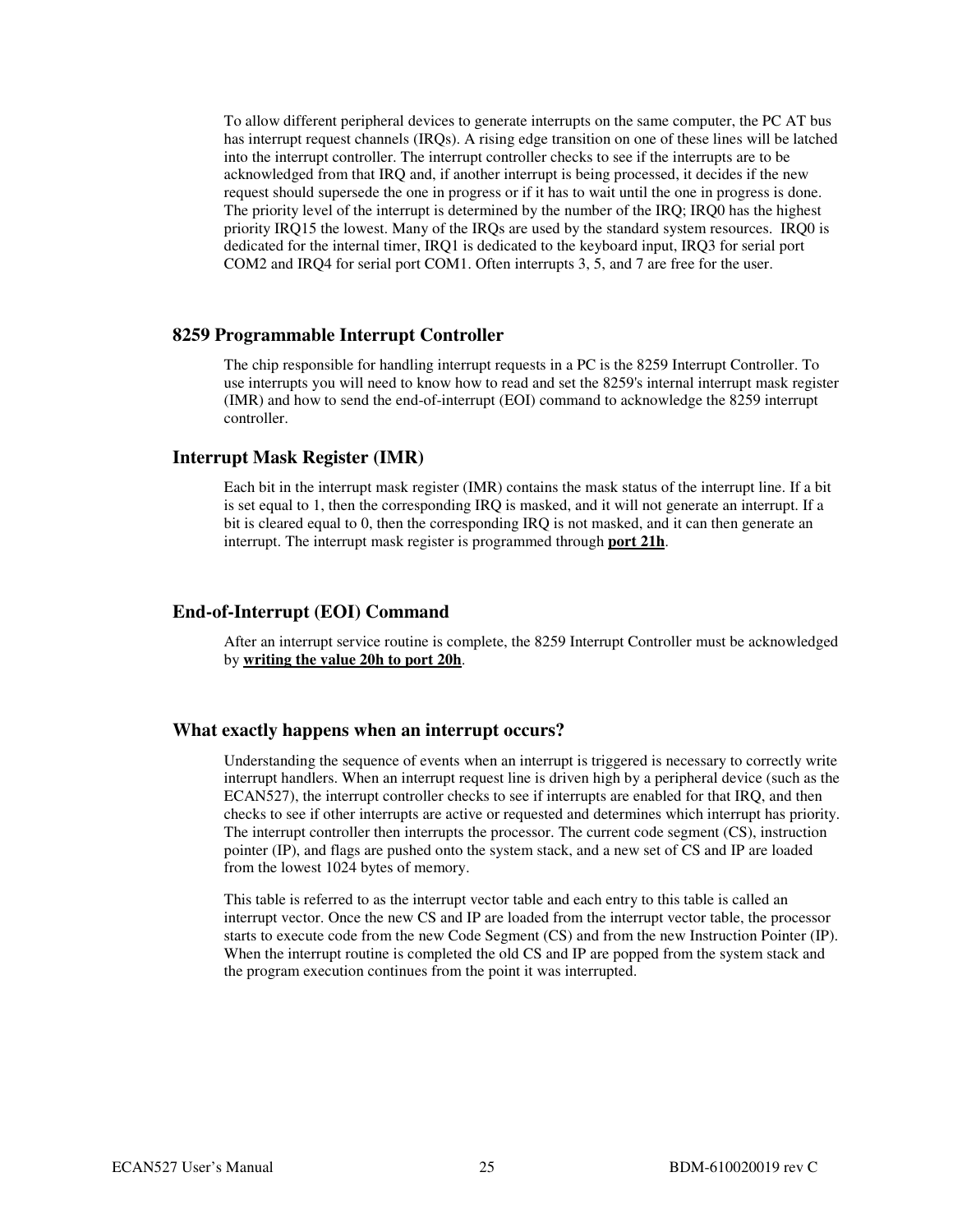To allow different peripheral devices to generate interrupts on the same computer, the PC AT bus has interrupt request channels (IRQs). A rising edge transition on one of these lines will be latched into the interrupt controller. The interrupt controller checks to see if the interrupts are to be acknowledged from that IRQ and, if another interrupt is being processed, it decides if the new request should supersede the one in progress or if it has to wait until the one in progress is done. The priority level of the interrupt is determined by the number of the IRQ; IRQ0 has the highest priority IRQ15 the lowest. Many of the IRQs are used by the standard system resources. IRQ0 is dedicated for the internal timer, IRQ1 is dedicated to the keyboard input, IRQ3 for serial port COM2 and IRQ4 for serial port COM1. Often interrupts 3, 5, and 7 are free for the user.

#### **8259 Programmable Interrupt Controller**

The chip responsible for handling interrupt requests in a PC is the 8259 Interrupt Controller. To use interrupts you will need to know how to read and set the 8259's internal interrupt mask register (IMR) and how to send the end-of-interrupt (EOI) command to acknowledge the 8259 interrupt controller.

#### **Interrupt Mask Register (IMR)**

Each bit in the interrupt mask register (IMR) contains the mask status of the interrupt line. If a bit is set equal to 1, then the corresponding IRQ is masked, and it will not generate an interrupt. If a bit is cleared equal to 0, then the corresponding IRQ is not masked, and it can then generate an interrupt. The interrupt mask register is programmed through **port 21h**.

#### **End-of-Interrupt (EOI) Command**

After an interrupt service routine is complete, the 8259 Interrupt Controller must be acknowledged by **writing the value 20h to port 20h**.

#### **What exactly happens when an interrupt occurs?**

Understanding the sequence of events when an interrupt is triggered is necessary to correctly write interrupt handlers. When an interrupt request line is driven high by a peripheral device (such as the ECAN527), the interrupt controller checks to see if interrupts are enabled for that IRQ, and then checks to see if other interrupts are active or requested and determines which interrupt has priority. The interrupt controller then interrupts the processor. The current code segment (CS), instruction pointer (IP), and flags are pushed onto the system stack, and a new set of CS and IP are loaded from the lowest 1024 bytes of memory.

This table is referred to as the interrupt vector table and each entry to this table is called an interrupt vector. Once the new CS and IP are loaded from the interrupt vector table, the processor starts to execute code from the new Code Segment (CS) and from the new Instruction Pointer (IP). When the interrupt routine is completed the old CS and IP are popped from the system stack and the program execution continues from the point it was interrupted.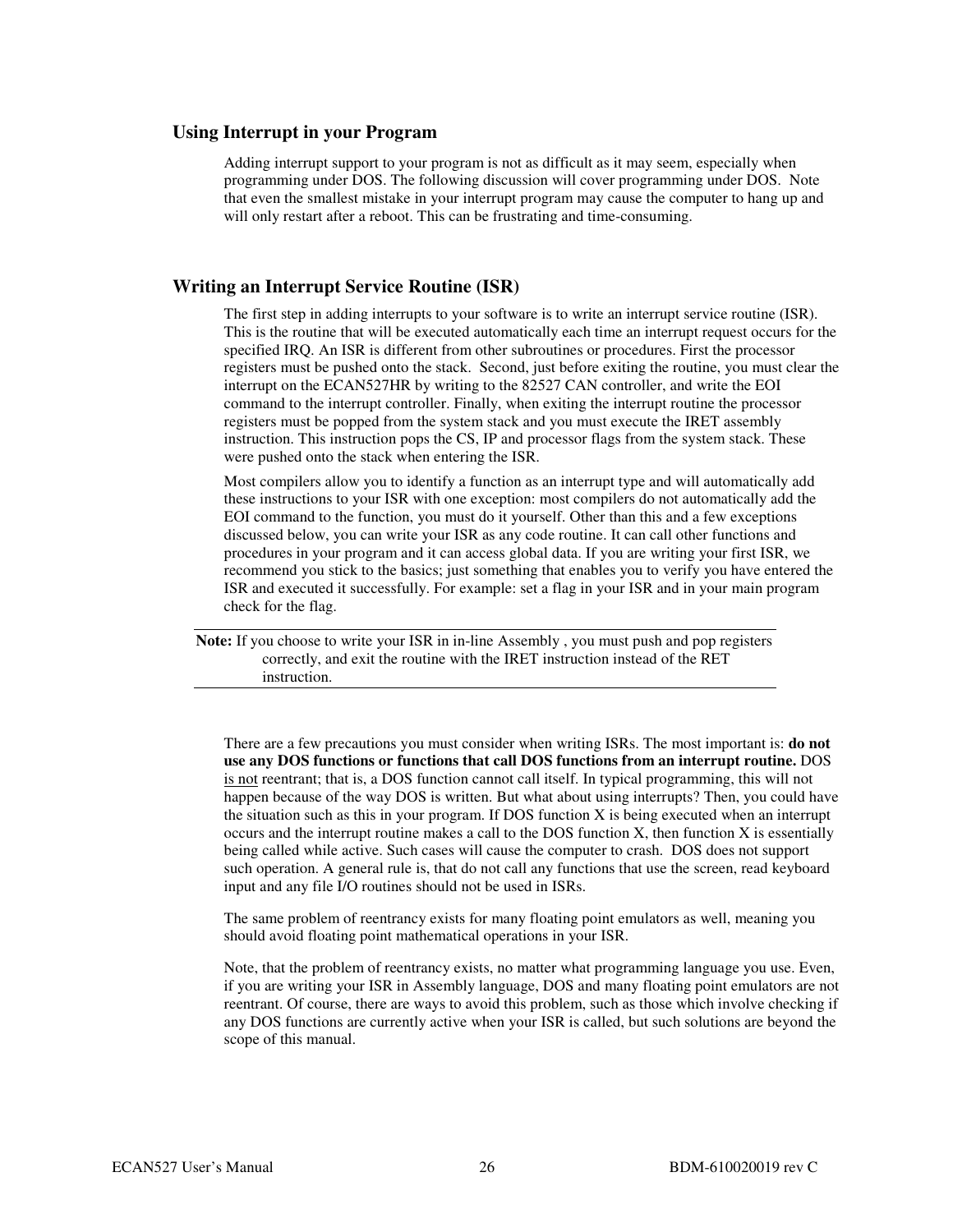#### **Using Interrupt in your Program**

Adding interrupt support to your program is not as difficult as it may seem, especially when programming under DOS. The following discussion will cover programming under DOS. Note that even the smallest mistake in your interrupt program may cause the computer to hang up and will only restart after a reboot. This can be frustrating and time-consuming.

#### **Writing an Interrupt Service Routine (ISR)**

The first step in adding interrupts to your software is to write an interrupt service routine (ISR). This is the routine that will be executed automatically each time an interrupt request occurs for the specified IRQ. An ISR is different from other subroutines or procedures. First the processor registers must be pushed onto the stack. Second, just before exiting the routine, you must clear the interrupt on the ECAN527HR by writing to the 82527 CAN controller, and write the EOI command to the interrupt controller. Finally, when exiting the interrupt routine the processor registers must be popped from the system stack and you must execute the IRET assembly instruction. This instruction pops the CS, IP and processor flags from the system stack. These were pushed onto the stack when entering the ISR.

Most compilers allow you to identify a function as an interrupt type and will automatically add these instructions to your ISR with one exception: most compilers do not automatically add the EOI command to the function, you must do it yourself. Other than this and a few exceptions discussed below, you can write your ISR as any code routine. It can call other functions and procedures in your program and it can access global data. If you are writing your first ISR, we recommend you stick to the basics; just something that enables you to verify you have entered the ISR and executed it successfully. For example: set a flag in your ISR and in your main program check for the flag.

**Note:** If you choose to write your ISR in in-line Assembly , you must push and pop registers correctly, and exit the routine with the IRET instruction instead of the RET instruction.

There are a few precautions you must consider when writing ISRs. The most important is: **do not use any DOS functions or functions that call DOS functions from an interrupt routine.** DOS is not reentrant; that is, a DOS function cannot call itself. In typical programming, this will not happen because of the way DOS is written. But what about using interrupts? Then, you could have the situation such as this in your program. If DOS function X is being executed when an interrupt occurs and the interrupt routine makes a call to the DOS function X, then function X is essentially being called while active. Such cases will cause the computer to crash. DOS does not support such operation. A general rule is, that do not call any functions that use the screen, read keyboard input and any file I/O routines should not be used in ISRs.

The same problem of reentrancy exists for many floating point emulators as well, meaning you should avoid floating point mathematical operations in your ISR.

Note, that the problem of reentrancy exists, no matter what programming language you use. Even, if you are writing your ISR in Assembly language, DOS and many floating point emulators are not reentrant. Of course, there are ways to avoid this problem, such as those which involve checking if any DOS functions are currently active when your ISR is called, but such solutions are beyond the scope of this manual.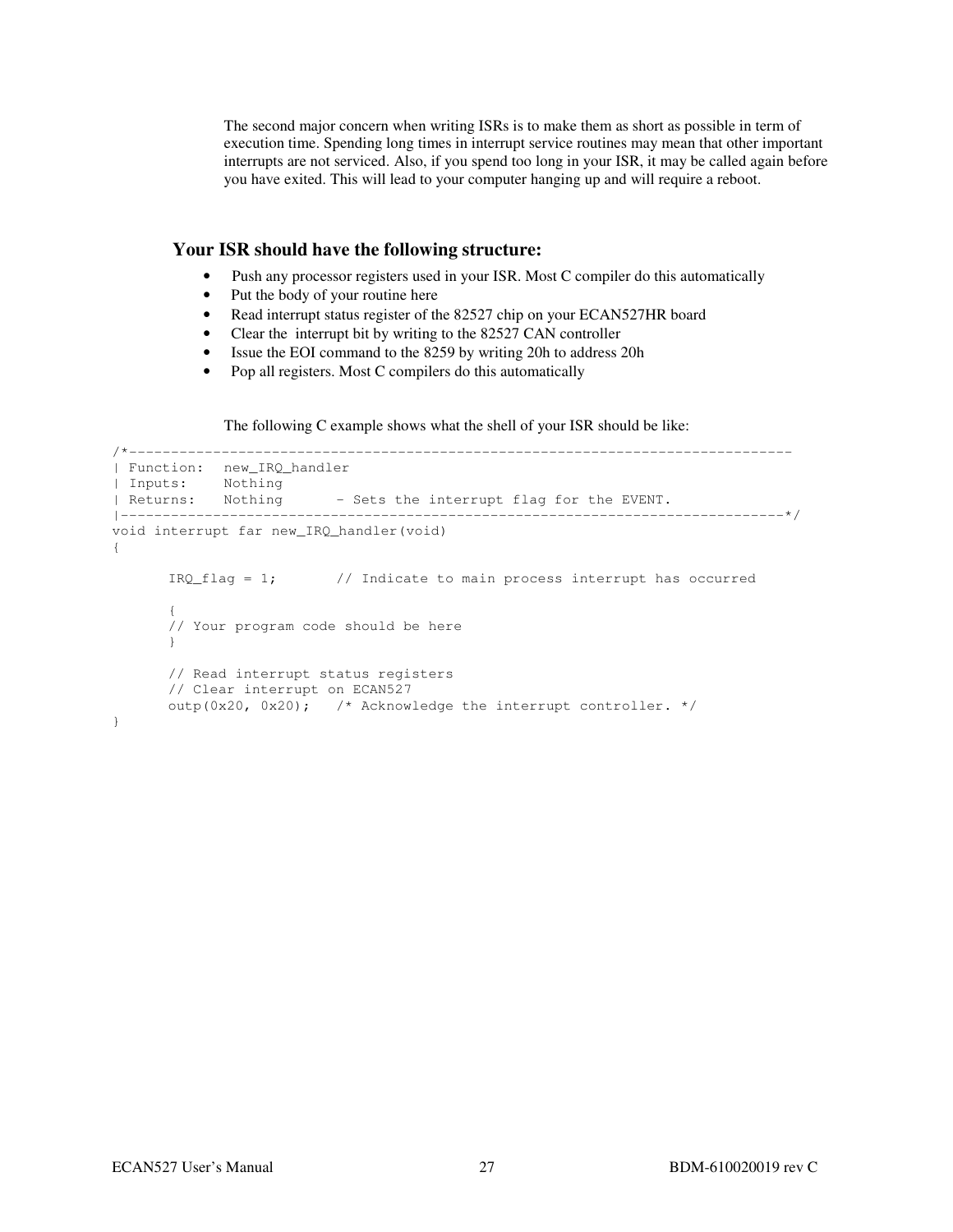The second major concern when writing ISRs is to make them as short as possible in term of execution time. Spending long times in interrupt service routines may mean that other important interrupts are not serviced. Also, if you spend too long in your ISR, it may be called again before you have exited. This will lead to your computer hanging up and will require a reboot.

#### **Your ISR should have the following structure:**

- Push any processor registers used in your ISR. Most C compiler do this automatically
- Put the body of your routine here
- Read interrupt status register of the 82527 chip on your ECAN527HR board
- Clear the interrupt bit by writing to the 82527 CAN controller
- Issue the EOI command to the 8259 by writing 20h to address 20h
- Pop all registers. Most C compilers do this automatically

The following C example shows what the shell of your ISR should be like:

```
/*------------------------------------------------------------------------------- 
| Function: new_IRQ_handler 
| Inputs: Nothing 
| Returns: Nothing - Sets the interrupt flag for the EVENT.
|-------------------------------------------------------------------------------*/ 
void interrupt far new_IRQ_handler(void) 
{ 
      IRQ_flag = 1; // Indicate to main process interrupt has occurred
\{ // Your program code should be here 
       } 
       // Read interrupt status registers 
       // Clear interrupt on ECAN527 
      outp(0x20, 0x20); /* Acknowledge the interrupt controller. */
}
```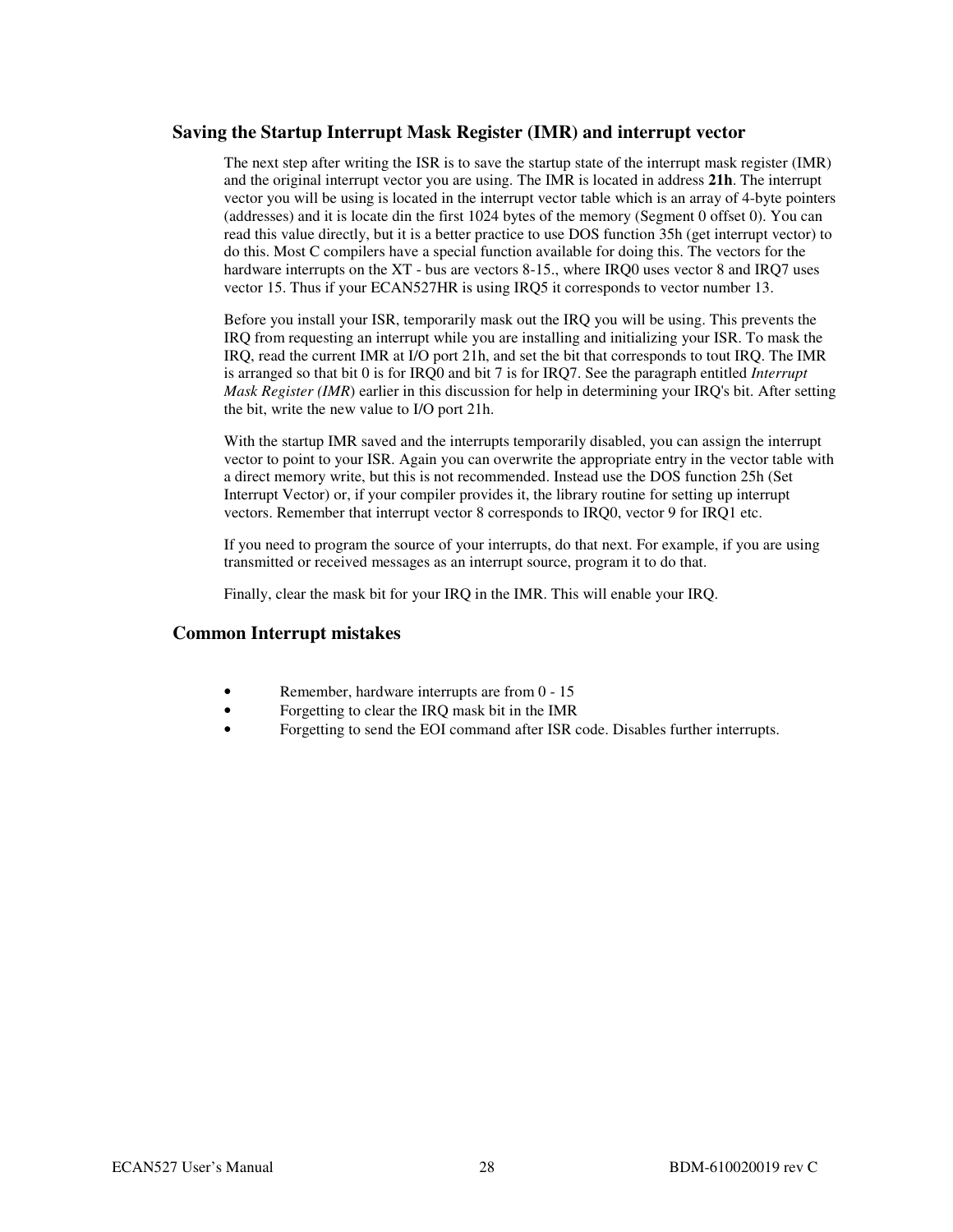#### **Saving the Startup Interrupt Mask Register (IMR) and interrupt vector**

The next step after writing the ISR is to save the startup state of the interrupt mask register (IMR) and the original interrupt vector you are using. The IMR is located in address **21h**. The interrupt vector you will be using is located in the interrupt vector table which is an array of 4-byte pointers (addresses) and it is locate din the first 1024 bytes of the memory (Segment 0 offset 0). You can read this value directly, but it is a better practice to use DOS function 35h (get interrupt vector) to do this. Most C compilers have a special function available for doing this. The vectors for the hardware interrupts on the XT - bus are vectors 8-15., where IRQ0 uses vector 8 and IRQ7 uses vector 15. Thus if your ECAN527HR is using IRQ5 it corresponds to vector number 13.

Before you install your ISR, temporarily mask out the IRQ you will be using. This prevents the IRQ from requesting an interrupt while you are installing and initializing your ISR. To mask the IRQ, read the current IMR at I/O port 21h, and set the bit that corresponds to tout IRQ. The IMR is arranged so that bit 0 is for IRQ0 and bit 7 is for IRQ7. See the paragraph entitled *Interrupt Mask Register (IMR)* earlier in this discussion for help in determining your IRQ's bit. After setting the bit, write the new value to I/O port 21h.

With the startup IMR saved and the interrupts temporarily disabled, you can assign the interrupt vector to point to your ISR. Again you can overwrite the appropriate entry in the vector table with a direct memory write, but this is not recommended. Instead use the DOS function 25h (Set Interrupt Vector) or, if your compiler provides it, the library routine for setting up interrupt vectors. Remember that interrupt vector 8 corresponds to IRQ0, vector 9 for IRQ1 etc.

If you need to program the source of your interrupts, do that next. For example, if you are using transmitted or received messages as an interrupt source, program it to do that.

Finally, clear the mask bit for your IRQ in the IMR. This will enable your IRQ.

#### **Common Interrupt mistakes**

- Remember, hardware interrupts are from 0 15
- Forgetting to clear the IRQ mask bit in the IMR
- Forgetting to send the EOI command after ISR code. Disables further interrupts.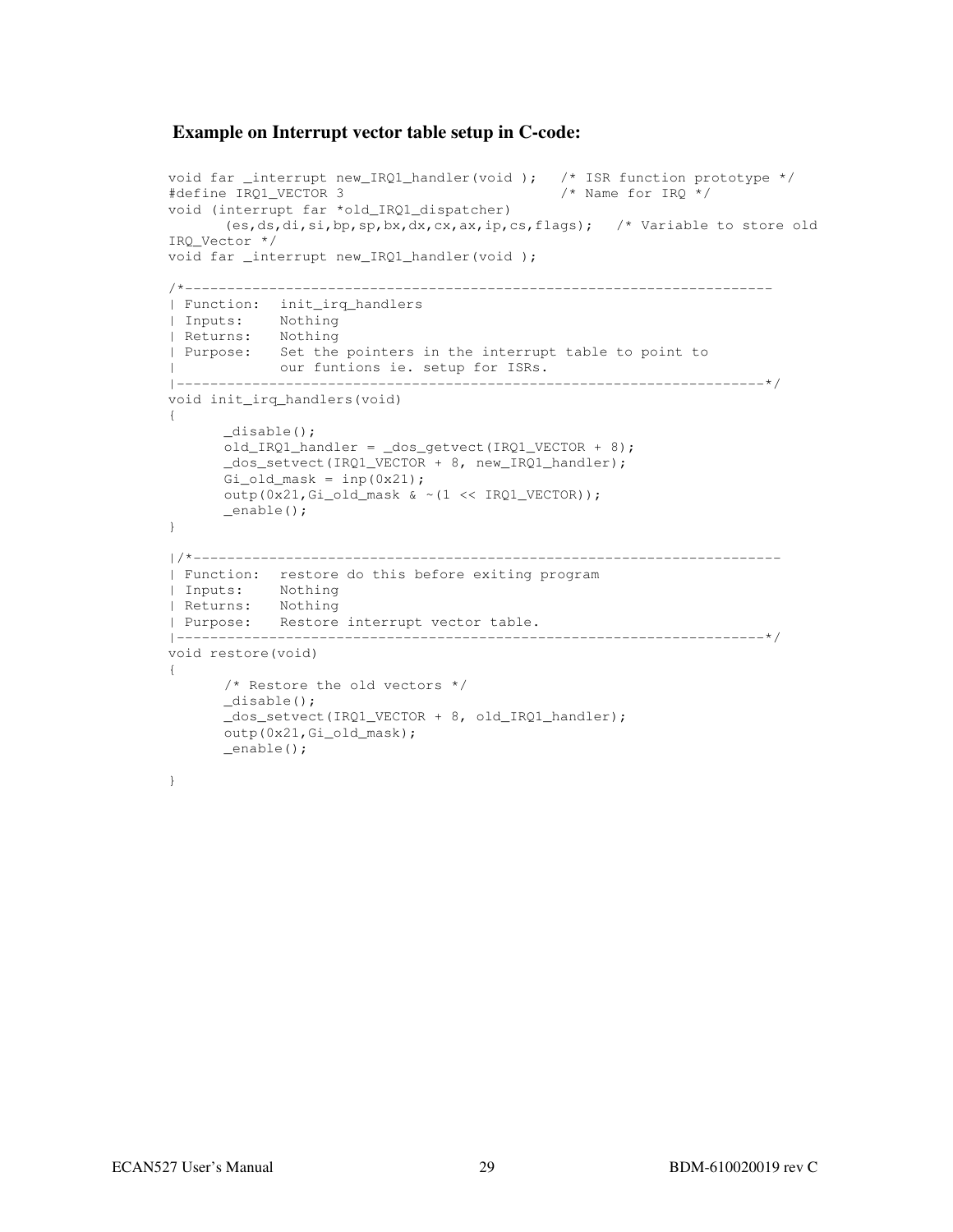#### **Example on Interrupt vector table setup in C-code:**

```
void far _interrupt new_IRQ1_handler(void ); /* ISR function prototype */ 
#define IRQ1_VECTOR 3 /* Name for IRQ */ 
void (interrupt far *old_IRQ1_dispatcher) 
       (es,ds,di,si,bp,sp,bx,dx,cx,ax,ip,cs,flags); /* Variable to store old 
IRQ_Vector */ 
void far _interrupt new_IRQ1_handler(void ); 
/*---------------------------------------------------------------------- 
| Function: init_irq_handlers 
| Inputs: Nothing 
| Returns: Nothing 
| Purpose: Set the pointers in the interrupt table to point to 
| our funtions ie. setup for ISRs. 
|----------------------------------------------------------------------*/ 
void init_irq_handlers(void) 
{ 
       _disable(); 
      old_IRQ1_handler = \_\text{dos_qetvect}(IRQ1_VECTOR + 8);
       _dos_setvect(IRQ1_VECTOR + 8, new_IRQ1_handler); 
      Gi_old_mask = inp(0x21); outp(0x21,Gi_old_mask & ~(1 << IRQ1_VECTOR)); 
       _enable(); 
} 
|/*---------------------------------------------------------------------- 
| Function: restore do this before exiting program 
| Inputs: Nothing 
| Returns: Nothing
| Purpose: Restore interrupt vector table. 
|----------------------------------------------------------------------*/ 
void restore(void) 
{ 
       /* Restore the old vectors */ 
       _disable(); 
       _dos_setvect(IRQ1_VECTOR + 8, old_IRQ1_handler); 
       outp(0x21,Gi_old_mask); 
       _enable(); 
}
```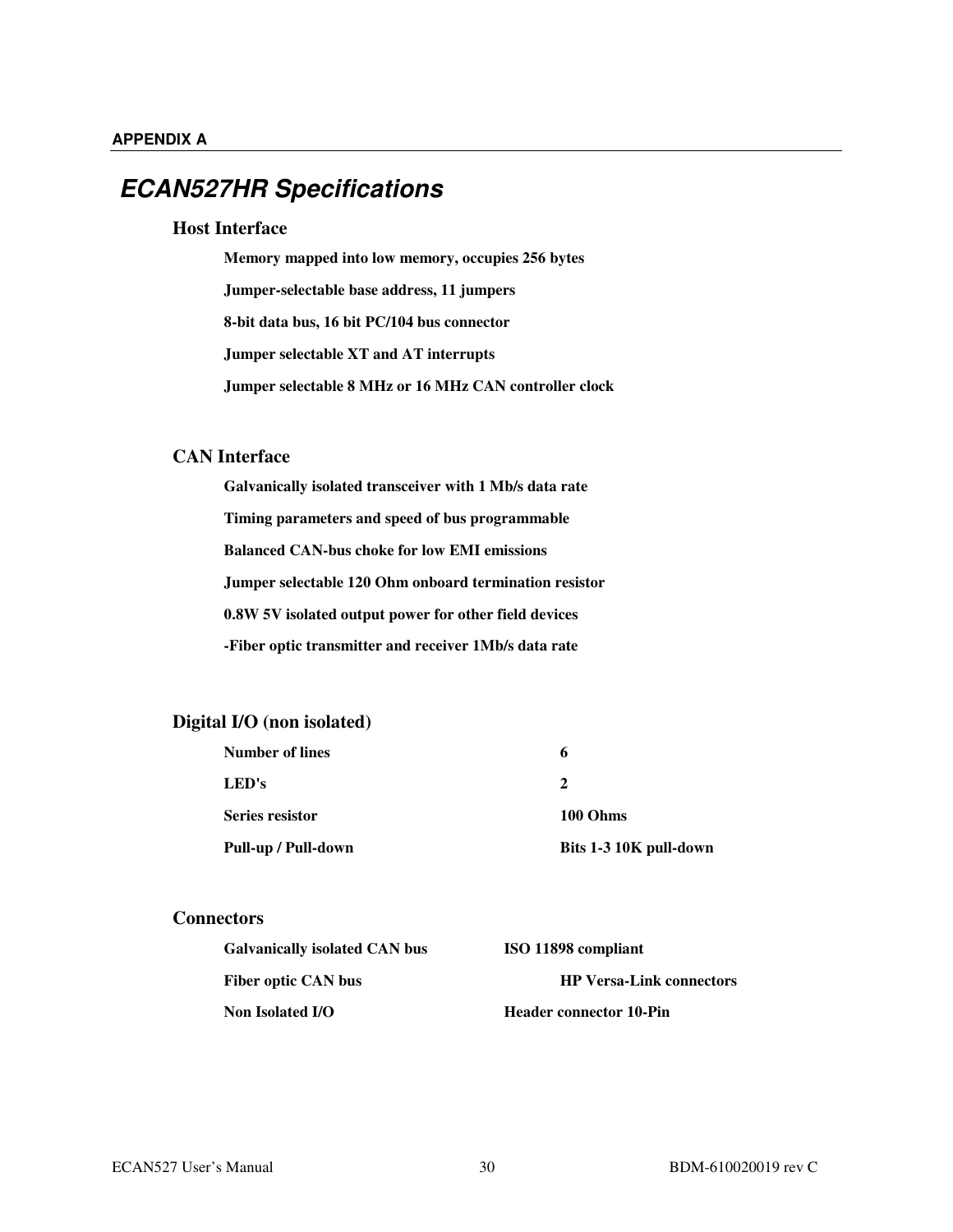### **ECAN527HR Specifications**

#### **Host Interface**

**Memory mapped into low memory, occupies 256 bytes Jumper-selectable base address, 11 jumpers 8-bit data bus, 16 bit PC/104 bus connector Jumper selectable XT and AT interrupts Jumper selectable 8 MHz or 16 MHz CAN controller clock**

#### **CAN Interface**

**Galvanically isolated transceiver with 1 Mb/s data rate Timing parameters and speed of bus programmable Balanced CAN-bus choke for low EMI emissions Jumper selectable 120 Ohm onboard termination resistor 0.8W 5V isolated output power for other field devices -Fiber optic transmitter and receiver 1Mb/s data rate**

#### **Digital I/O (non isolated)**

| <b>Number of lines</b> | 6                      |
|------------------------|------------------------|
| LED's                  | 2                      |
| <b>Series resistor</b> | 100 Ohms               |
| Pull-up / Pull-down    | Bits 1-3 10K pull-down |

#### **Connectors**

| <b>Galvanically isolated CAN bus</b> | ISO 11898 compliant             |
|--------------------------------------|---------------------------------|
| <b>Fiber optic CAN bus</b>           | <b>HP Versa-Link connectors</b> |
| Non Isolated I/O                     | <b>Header connector 10-Pin</b>  |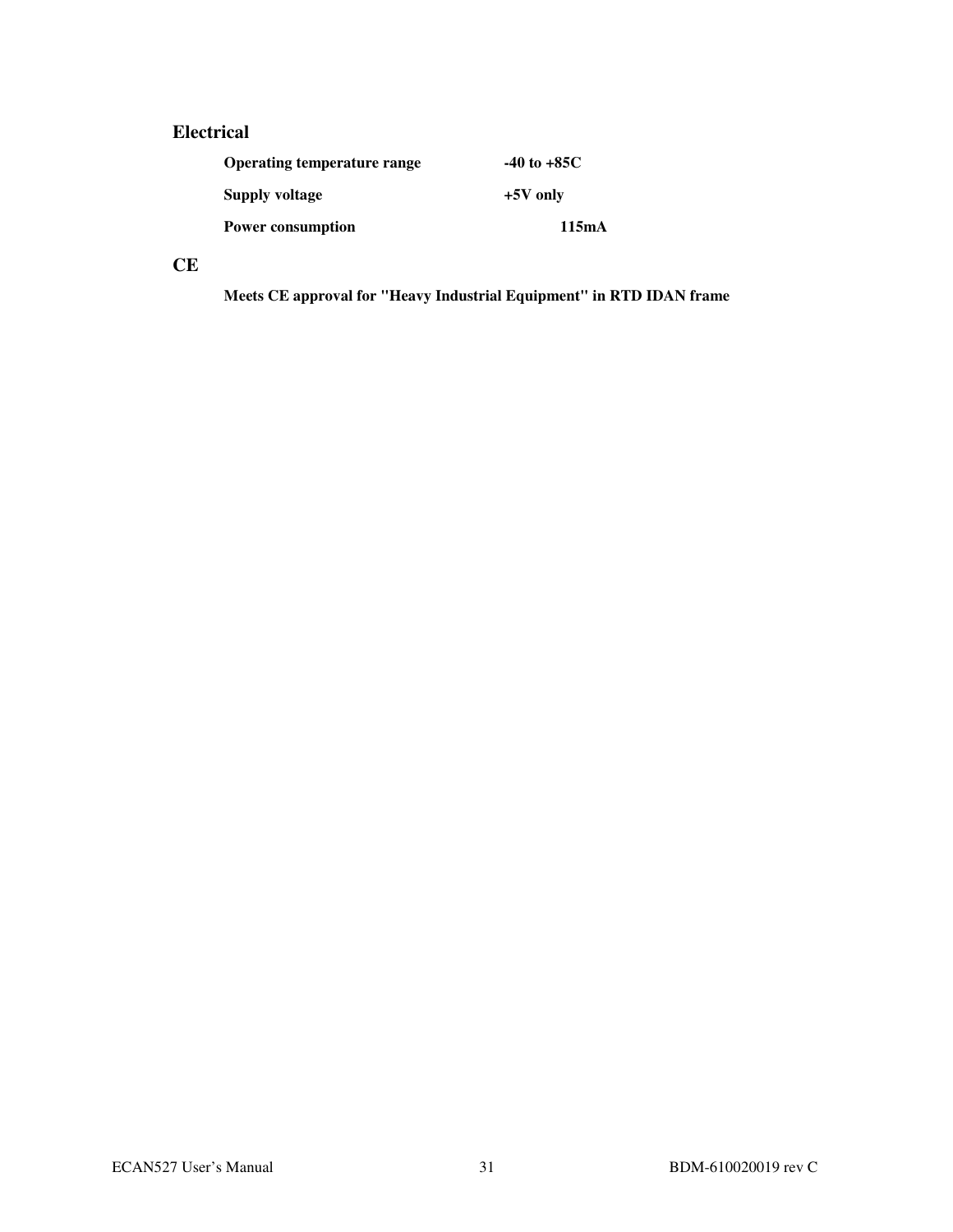#### **Electrical**

| Operating temperature range | $-40$ to $+85C$ |
|-----------------------------|-----------------|
| Supply voltage              | $+5V$ only      |
| <b>Power consumption</b>    | 115mA           |

#### **CE**

**Meets CE approval for "Heavy Industrial Equipment" in RTD IDAN frame**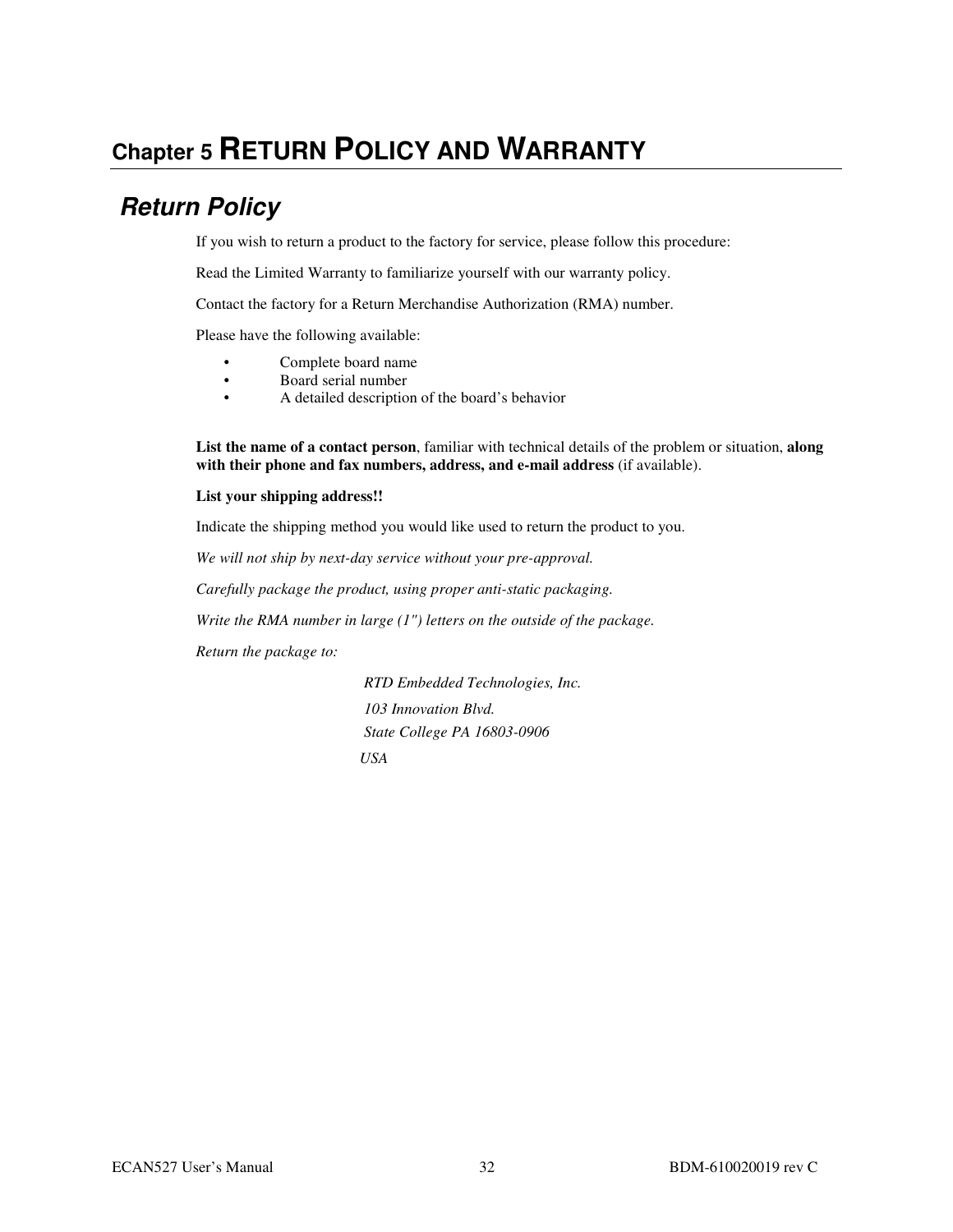## **Chapter 5 RETURN POLICY AND WARRANTY**

## **Return Policy**

If you wish to return a product to the factory for service, please follow this procedure:

Read the Limited Warranty to familiarize yourself with our warranty policy.

Contact the factory for a Return Merchandise Authorization (RMA) number.

Please have the following available:

- Complete board name
- Board serial number
- A detailed description of the board's behavior

**List the name of a contact person**, familiar with technical details of the problem or situation, **along with their phone and fax numbers, address, and e-mail address** (if available).

#### **List your shipping address!!**

Indicate the shipping method you would like used to return the product to you.

*We will not ship by next-day service without your pre-approval.*

*Carefully package the product, using proper anti-static packaging.*

*Write the RMA number in large (1") letters on the outside of the package.*

*Return the package to:* 

 *RTD Embedded Technologies, Inc. 103 Innovation Blvd. State College PA 16803-0906 USA*